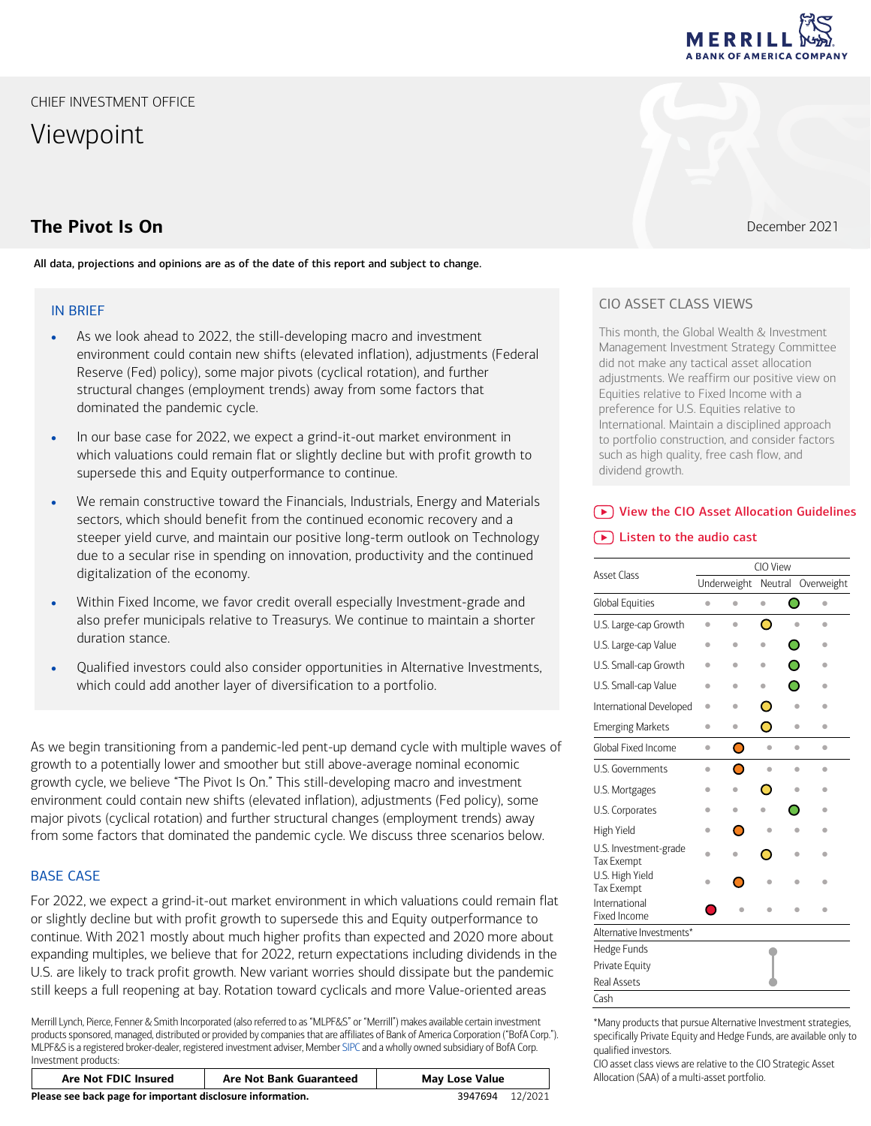Viewpoint

# **The Pivot Is On** December 2021

All data, projections and opinions are as of the date of this report and subject to change.

## IN BRIEF

- As we look ahead to 2022, the still-developing macro and investment environment could contain new shifts (elevated inflation), adjustments (Federal Reserve (Fed) policy), some major pivots (cyclical rotation), and further structural changes (employment trends) away from some factors that dominated the pandemic cycle.
- In our base case for 2022, we expect a grind-it-out market environment in which valuations could remain flat or slightly decline but with profit growth to supersede this and Equity outperformance to continue.
- We remain constructive toward the Financials, Industrials, Energy and Materials sectors, which should benefit from the continued economic recovery and a steeper yield curve, and maintain our positive long-term outlook on Technology due to a secular rise in spending on innovation, productivity and the continued digitalization of the economy.
- Within Fixed Income, we favor credit overall especially Investment-grade and also prefer municipals relative to Treasurys. We continue to maintain a shorter duration stance.
- Qualified investors could also consider opportunities in Alternative Investments, which could add another layer of diversification to a portfolio.

As we begin transitioning from a pandemic-led pent-up demand cycle with multiple waves of growth to a potentially lower and smoother but still above-average nominal economic growth cycle, we believe "The Pivot Is On." This still-developing macro and investment environment could contain new shifts (elevated inflation), adjustments (Fed policy), some major pivots (cyclical rotation) and further structural changes (employment trends) away from some factors that dominated the pandemic cycle. We discuss three scenarios below.

## BASE CASE

For 2022, we expect a grind-it-out market environment in which valuations could remain flat or slightly decline but with profit growth to supersede this and Equity outperformance to continue. With 2021 mostly about much higher profits than expected and 2020 more about expanding multiples, we believe that for 2022, return expectations including dividends in the U.S. are likely to track profit growth. New variant worries should dissipate but the pandemic still keeps a full reopening at bay. Rotation toward cyclicals and more Value-oriented areas

Merrill Lynch, Pierce, Fenner & Smith Incorporated (also referred to as "MLPF&S" or "Merrill") makes available certain investment products sponsored, managed, distributed or provided by companies that are affiliates of Bank of America Corporation ("BofA Corp."). MLPF&S is a registered broker-dealer, registered investment adviser, Membe[r SIPC](https://www.sipc.org/) and a wholly owned subsidiary of BofA Corp. Investment products:

| <b>Are Not FDIC Insured</b>                                | <b>Are Not Bank Guaranteed</b> | <b>May Lose Value</b> |  |
|------------------------------------------------------------|--------------------------------|-----------------------|--|
| Please see back page for important disclosure information. | 3947694                        | 12/2021               |  |

## CIO ASSET CLASS VIEWS

This month, the Global Wealth & Investment Management Investment Strategy Committee did not make any tactical asset allocation adjustments. We reaffirm our positive view on Equities relative to Fixed Income with a preference for U.S. Equities relative to International. Maintain a disciplined approach to portfolio construction, and consider factors such as high quality, free cash flow, and dividend growth.

## [View the CIO Asset Allocation Guidelines](https://olui2.fs.ml.com/Publish/Content/application/pdf/GWMOL/AATablesMLDecember2021.pdf)

## [Listen to the audio cast](https://bcove.video/3pENBDt)

| <b>Asset Class</b>                         | CIO View |             |           |   |            |  |  |  |
|--------------------------------------------|----------|-------------|-----------|---|------------|--|--|--|
|                                            |          | Underweight | Neutral   |   | Overweight |  |  |  |
| Global Equities                            | ò        | ò           | $\bullet$ | O | ٠          |  |  |  |
| U.S. Large-cap Growth                      | ۰        | ۰           | O         |   | ۰          |  |  |  |
| U.S. Large-cap Value                       |          | ٠           |           | O | ۰          |  |  |  |
| U.S. Small-cap Growth                      |          | ۰           | ۰         | O | ۵          |  |  |  |
| U.S. Small-cap Value                       | ۰        | ۰           | ۰         | ◠ | ۰          |  |  |  |
| International Developed                    |          |             | С         |   | ۰          |  |  |  |
| <b>Emerging Markets</b>                    | ۰        |             | ◠         |   | ۰          |  |  |  |
| Global Fixed Income                        | ۰        | O           | ۵         | ۰ | ۰          |  |  |  |
| U.S. Governments                           | ۰        | ⊂           | ۵         | ۰ | ۰          |  |  |  |
| U.S. Mortgages                             | ۰        |             | г         |   | ۰          |  |  |  |
| U.S. Corporates                            | ۰        |             |           |   | ۰          |  |  |  |
| High Yield                                 | ۰        | С           |           |   | ۰          |  |  |  |
| U.S. Investment-grade<br><b>Tax Exempt</b> |          |             |           |   | ۰          |  |  |  |
| U.S. High Yield<br><b>Tax Exempt</b>       |          |             |           |   | ۵          |  |  |  |
| International<br><b>Fixed Income</b>       |          |             |           |   |            |  |  |  |
| Alternative Investments*                   |          |             |           |   |            |  |  |  |
| Hedge Funds                                |          |             |           |   |            |  |  |  |
| Private Equity                             |          |             |           |   |            |  |  |  |
| <b>Real Assets</b>                         |          |             |           |   |            |  |  |  |
| Cash                                       |          |             |           |   |            |  |  |  |

\*Many products that pursue Alternative Investment strategies, specifically Private Equity and Hedge Funds, are available only to qualified investors.

CIO asset class views are relative to the CIO Strategic Asset Allocation (SAA) of a multi-asset portfolio.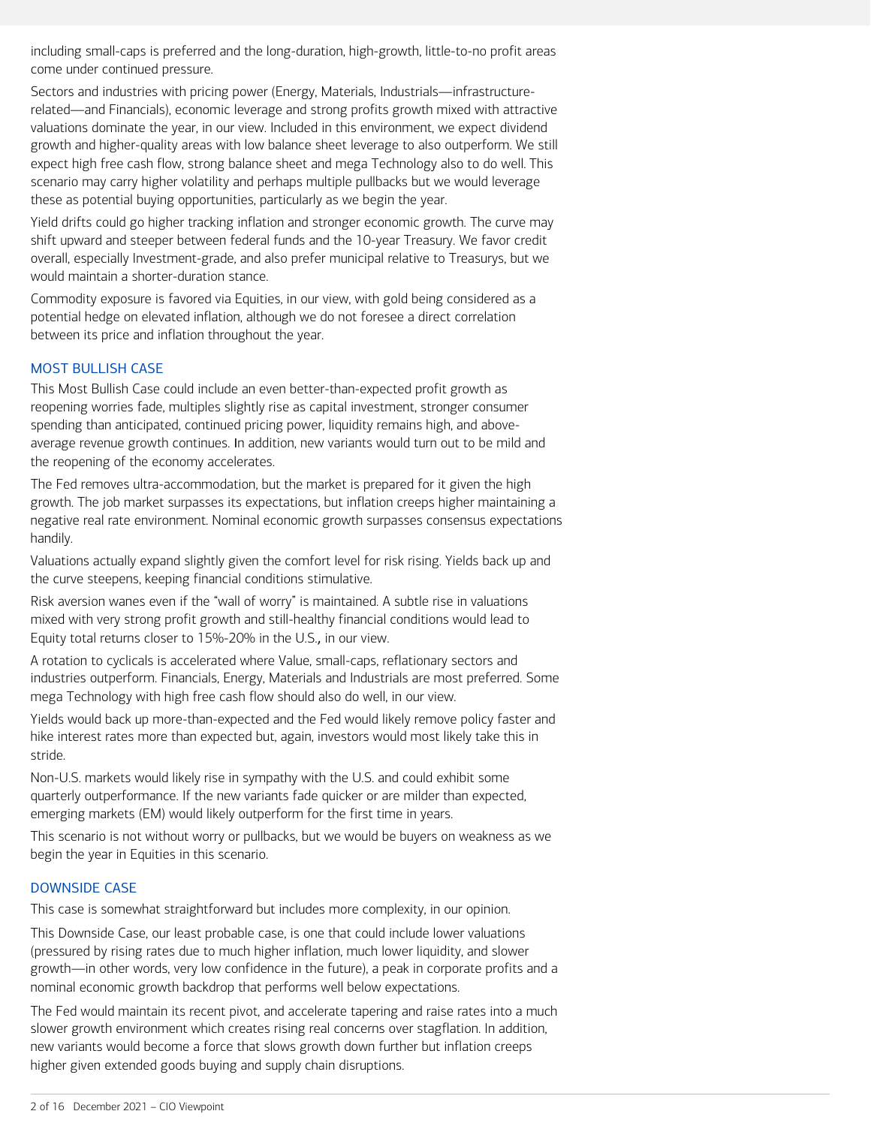including small-caps is preferred and the long-duration, high-growth, little-to-no profit areas come under continued pressure.

Sectors and industries with pricing power (Energy, Materials, Industrials—infrastructurerelated―and Financials), economic leverage and strong profits growth mixed with attractive valuations dominate the year, in our view. Included in this environment, we expect dividend growth and higher-quality areas with low balance sheet leverage to also outperform. We still expect high free cash flow, strong balance sheet and mega Technology also to do well. This scenario may carry higher volatility and perhaps multiple pullbacks but we would leverage these as potential buying opportunities, particularly as we begin the year.

Yield drifts could go higher tracking inflation and stronger economic growth. The curve may shift upward and steeper between federal funds and the 10-year Treasury. We favor credit overall, especially Investment-grade, and also prefer municipal relative to Treasurys, but we would maintain a shorter-duration stance.

Commodity exposure is favored via Equities, in our view, with gold being considered as a potential hedge on elevated inflation, although we do not foresee a direct correlation between its price and inflation throughout the year.

### MOST BULLISH CASE

This Most Bullish Case could include an even better-than-expected profit growth as reopening worries fade, multiples slightly rise as capital investment, stronger consumer spending than anticipated, continued pricing power, liquidity remains high, and aboveaverage revenue growth continues. In addition, new variants would turn out to be mild and the reopening of the economy accelerates.

The Fed removes ultra-accommodation, but the market is prepared for it given the high growth. The job market surpasses its expectations, but inflation creeps higher maintaining a negative real rate environment. Nominal economic growth surpasses consensus expectations handily.

Valuations actually expand slightly given the comfort level for risk rising. Yields back up and the curve steepens, keeping financial conditions stimulative.

Risk aversion wanes even if the "wall of worry" is maintained. A subtle rise in valuations mixed with very strong profit growth and still-healthy financial conditions would lead to Equity total returns closer to 15%-20% in the U.S., in our view.

A rotation to cyclicals is accelerated where Value, small-caps, reflationary sectors and industries outperform. Financials, Energy, Materials and Industrials are most preferred. Some mega Technology with high free cash flow should also do well, in our view.

Yields would back up more-than-expected and the Fed would likely remove policy faster and hike interest rates more than expected but, again, investors would most likely take this in stride.

Non-U.S. markets would likely rise in sympathy with the U.S. and could exhibit some quarterly outperformance. If the new variants fade quicker or are milder than expected, emerging markets (EM) would likely outperform for the first time in years.

This scenario is not without worry or pullbacks, but we would be buyers on weakness as we begin the year in Equities in this scenario.

## DOWNSIDE CASE

This case is somewhat straightforward but includes more complexity, in our opinion.

This Downside Case, our least probable case, is one that could include lower valuations (pressured by rising rates due to much higher inflation, much lower liquidity, and slower growth―in other words, very low confidence in the future), a peak in corporate profits and a nominal economic growth backdrop that performs well below expectations.

The Fed would maintain its recent pivot, and accelerate tapering and raise rates into a much slower growth environment which creates rising real concerns over stagflation. In addition, new variants would become a force that slows growth down further but inflation creeps higher given extended goods buying and supply chain disruptions.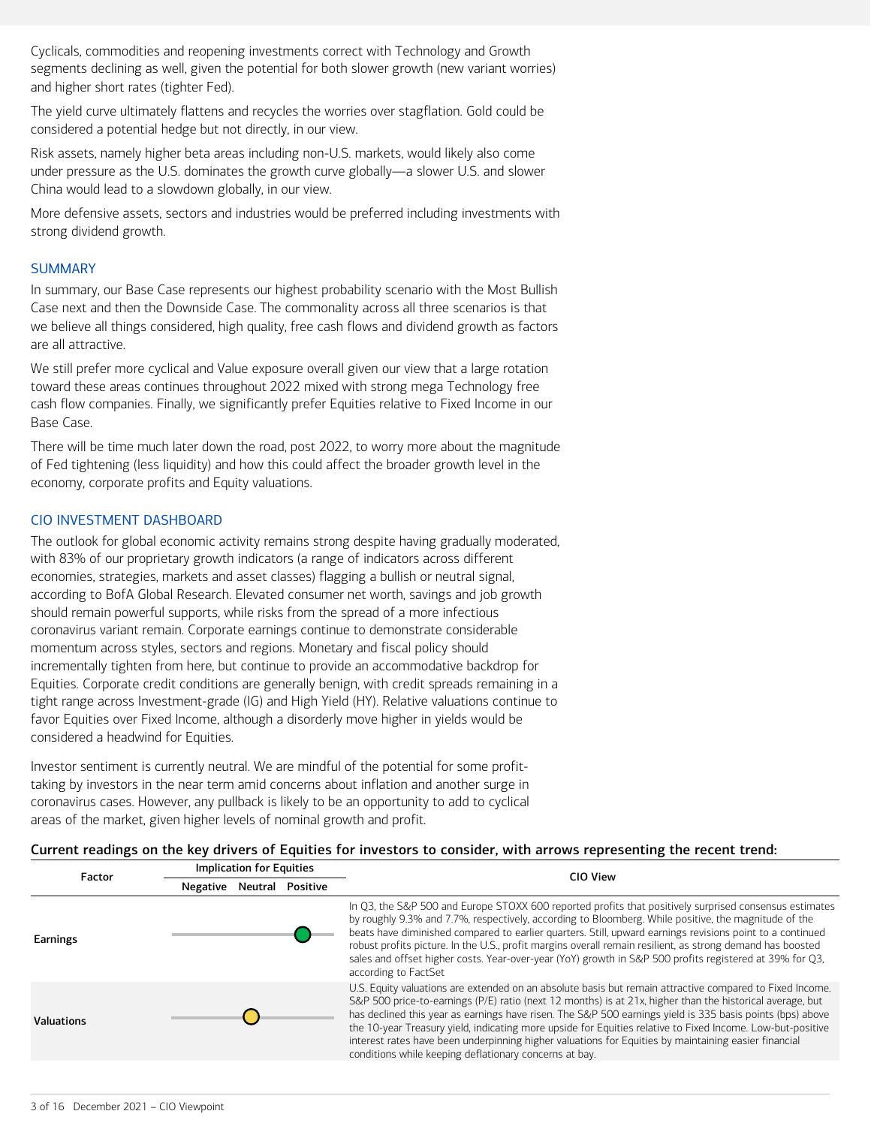Cyclicals, commodities and reopening investments correct with Technology and Growth segments declining as well, given the potential for both slower growth (new variant worries) and higher short rates (tighter Fed).

The yield curve ultimately flattens and recycles the worries over stagflation. Gold could be considered a potential hedge but not directly, in our view.

Risk assets, namely higher beta areas including non-U.S. markets, would likely also come under pressure as the U.S. dominates the growth curve globally―a slower U.S. and slower China would lead to a slowdown globally, in our view.

More defensive assets, sectors and industries would be preferred including investments with strong dividend growth.

### **SUMMARY**

In summary, our Base Case represents our highest probability scenario with the Most Bullish Case next and then the Downside Case. The commonality across all three scenarios is that we believe all things considered, high quality, free cash flows and dividend growth as factors are all attractive.

We still prefer more cyclical and Value exposure overall given our view that a large rotation toward these areas continues throughout 2022 mixed with strong mega Technology free cash flow companies. Finally, we significantly prefer Equities relative to Fixed Income in our Base Case.

There will be time much later down the road, post 2022, to worry more about the magnitude of Fed tightening (less liquidity) and how this could affect the broader growth level in the economy, corporate profits and Equity valuations.

## CIO INVESTMENT DASHBOARD

The outlook for global economic activity remains strong despite having gradually moderated, with 83% of our proprietary growth indicators (a range of indicators across different economies, strategies, markets and asset classes) flagging a bullish or neutral signal, according to BofA Global Research. Elevated consumer net worth, savings and job growth should remain powerful supports, while risks from the spread of a more infectious coronavirus variant remain. Corporate earnings continue to demonstrate considerable momentum across styles, sectors and regions. Monetary and fiscal policy should incrementally tighten from here, but continue to provide an accommodative backdrop for Equities. Corporate credit conditions are generally benign, with credit spreads remaining in a tight range across Investment-grade (IG) and High Yield (HY). Relative valuations continue to favor Equities over Fixed Income, although a disorderly move higher in yields would be considered a headwind for Equities.

Investor sentiment is currently neutral. We are mindful of the potential for some profittaking by investors in the near term amid concerns about inflation and another surge in coronavirus cases. However, any pullback is likely to be an opportunity to add to cyclical areas of the market, given higher levels of nominal growth and profit.

Implication for Equities

#### Current readings on the key drivers of Equities for investors to consider, with arrows representing the recent trend:

| Factor            |          | Implication for Equities |                  | CIO View                                                                                                                                                                                                                                                                                                                                                                                                                                                                                                                                                                                                           |
|-------------------|----------|--------------------------|------------------|--------------------------------------------------------------------------------------------------------------------------------------------------------------------------------------------------------------------------------------------------------------------------------------------------------------------------------------------------------------------------------------------------------------------------------------------------------------------------------------------------------------------------------------------------------------------------------------------------------------------|
|                   | Negative |                          | Neutral Positive |                                                                                                                                                                                                                                                                                                                                                                                                                                                                                                                                                                                                                    |
| Earnings          |          |                          |                  | In 03, the S&P 500 and Europe STOXX 600 reported profits that positively surprised consensus estimates<br>by roughly 9.3% and 7.7%, respectively, according to Bloomberg. While positive, the magnitude of the<br>beats have diminished compared to earlier quarters. Still, upward earnings revisions point to a continued<br>robust profits picture. In the U.S., profit margins overall remain resilient, as strong demand has boosted<br>sales and offset higher costs. Year-over-year (YoY) growth in S&P 500 profits registered at 39% for Q3,<br>according to FactSet                                       |
| <b>Valuations</b> |          |                          |                  | U.S. Equity valuations are extended on an absolute basis but remain attractive compared to Fixed Income.<br>S&P 500 price-to-earnings (P/E) ratio (next 12 months) is at 21x, higher than the historical average, but<br>has declined this year as earnings have risen. The S&P 500 earnings yield is 335 basis points (bps) above<br>the 10-year Treasury yield, indicating more upside for Equities relative to Fixed Income. Low-but-positive<br>interest rates have been underpinning higher valuations for Equities by maintaining easier financial<br>conditions while keeping deflationary concerns at bay. |
|                   |          |                          |                  |                                                                                                                                                                                                                                                                                                                                                                                                                                                                                                                                                                                                                    |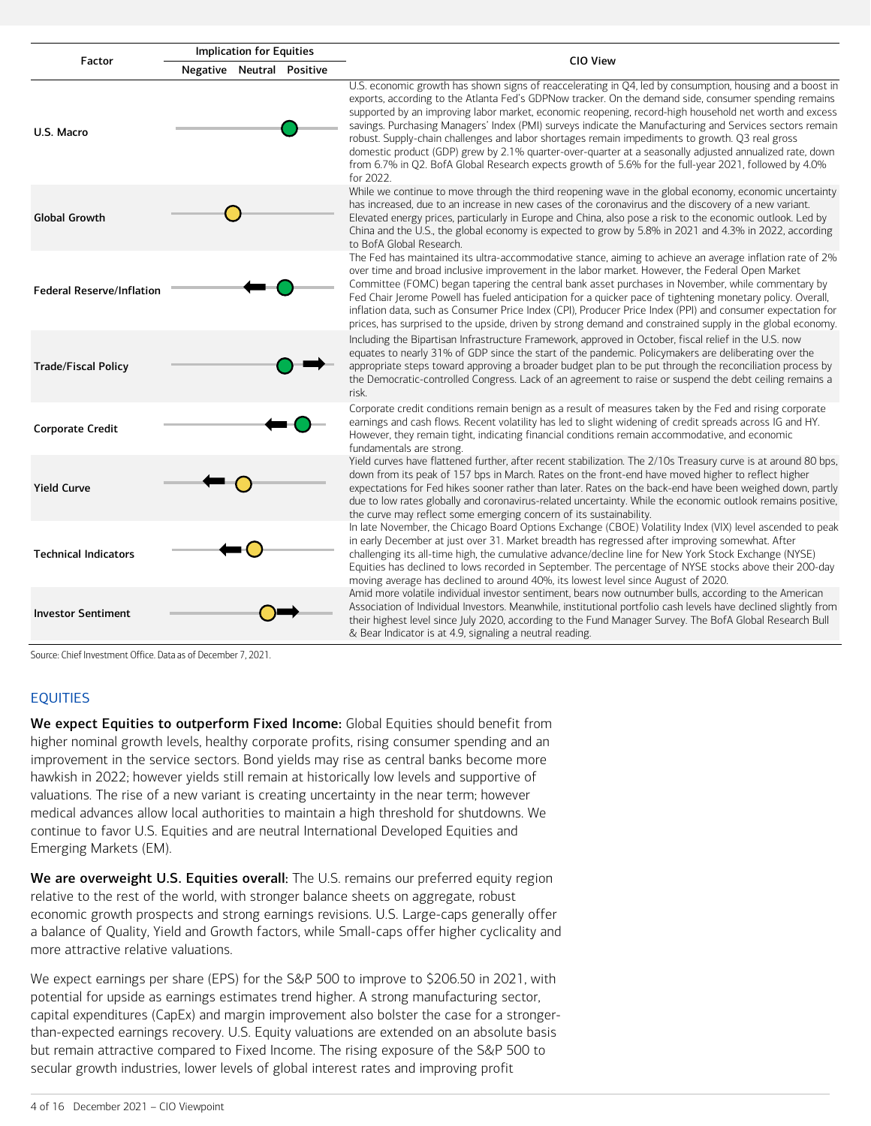

Source: Chief Investment Office. Data as of December 7, 2021.

#### EQUITIES

We expect Equities to outperform Fixed Income: Global Equities should benefit from higher nominal growth levels, healthy corporate profits, rising consumer spending and an improvement in the service sectors. Bond yields may rise as central banks become more hawkish in 2022; however yields still remain at historically low levels and supportive of valuations. The rise of a new variant is creating uncertainty in the near term; however medical advances allow local authorities to maintain a high threshold for shutdowns. We continue to favor U.S. Equities and are neutral International Developed Equities and Emerging Markets (EM).

We are overweight U.S. Equities overall: The U.S. remains our preferred equity region relative to the rest of the world, with stronger balance sheets on aggregate, robust economic growth prospects and strong earnings revisions. U.S. Large-caps generally offer a balance of Quality, Yield and Growth factors, while Small-caps offer higher cyclicality and more attractive relative valuations.

We expect earnings per share (EPS) for the S&P 500 to improve to \$206.50 in 2021, with potential for upside as earnings estimates trend higher. A strong manufacturing sector, capital expenditures (CapEx) and margin improvement also bolster the case for a strongerthan-expected earnings recovery. U.S. Equity valuations are extended on an absolute basis but remain attractive compared to Fixed Income. The rising exposure of the S&P 500 to secular growth industries, lower levels of global interest rates and improving profit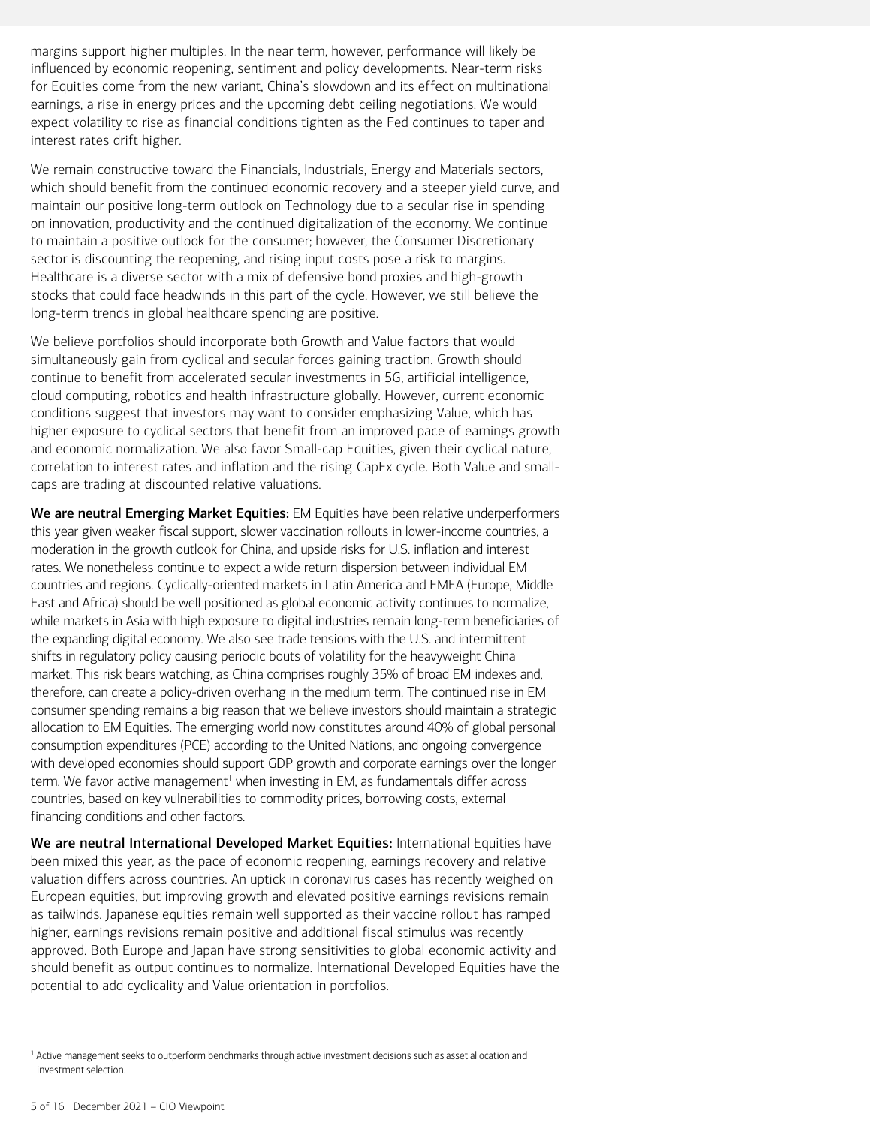margins support higher multiples. In the near term, however, performance will likely be influenced by economic reopening, sentiment and policy developments. Near-term risks for Equities come from the new variant, China's slowdown and its effect on multinational earnings, a rise in energy prices and the upcoming debt ceiling negotiations. We would expect volatility to rise as financial conditions tighten as the Fed continues to taper and interest rates drift higher.

We remain constructive toward the Financials, Industrials, Energy and Materials sectors, which should benefit from the continued economic recovery and a steeper yield curve, and maintain our positive long-term outlook on Technology due to a secular rise in spending on innovation, productivity and the continued digitalization of the economy. We continue to maintain a positive outlook for the consumer; however, the Consumer Discretionary sector is discounting the reopening, and rising input costs pose a risk to margins. Healthcare is a diverse sector with a mix of defensive bond proxies and high-growth stocks that could face headwinds in this part of the cycle. However, we still believe the long-term trends in global healthcare spending are positive.

We believe portfolios should incorporate both Growth and Value factors that would simultaneously gain from cyclical and secular forces gaining traction. Growth should continue to benefit from accelerated secular investments in 5G, artificial intelligence, cloud computing, robotics and health infrastructure globally. However, current economic conditions suggest that investors may want to consider emphasizing Value, which has higher exposure to cyclical sectors that benefit from an improved pace of earnings growth and economic normalization. We also favor Small-cap Equities, given their cyclical nature, correlation to interest rates and inflation and the rising CapEx cycle. Both Value and smallcaps are trading at discounted relative valuations.

We are neutral Emerging Market Equities: EM Equities have been relative underperformers this year given weaker fiscal support, slower vaccination rollouts in lower-income countries, a moderation in the growth outlook for China, and upside risks for U.S. inflation and interest rates. We nonetheless continue to expect a wide return dispersion between individual EM countries and regions. Cyclically-oriented markets in Latin America and EMEA (Europe, Middle East and Africa) should be well positioned as global economic activity continues to normalize, while markets in Asia with high exposure to digital industries remain long-term beneficiaries of the expanding digital economy. We also see trade tensions with the U.S. and intermittent shifts in regulatory policy causing periodic bouts of volatility for the heavyweight China market. This risk bears watching, as China comprises roughly 35% of broad EM indexes and, therefore, can create a policy-driven overhang in the medium term. The continued rise in EM consumer spending remains a big reason that we believe investors should maintain a strategic allocation to EM Equities. The emerging world now constitutes around 40% of global personal consumption expenditures (PCE) according to the United Nations, and ongoing convergence with developed economies should support GDP growth and corporate earnings over the longer term. We favor active management<sup>[1](#page-4-0)</sup> when investing in EM, as fundamentals differ across countries, based on key vulnerabilities to commodity prices, borrowing costs, external financing conditions and other factors.

We are neutral International Developed Market Equities: International Equities have been mixed this year, as the pace of economic reopening, earnings recovery and relative valuation differs across countries. An uptick in coronavirus cases has recently weighed on European equities, but improving growth and elevated positive earnings revisions remain as tailwinds. Japanese equities remain well supported as their vaccine rollout has ramped higher, earnings revisions remain positive and additional fiscal stimulus was recently approved. Both Europe and Japan have strong sensitivities to global economic activity and should benefit as output continues to normalize. International Developed Equities have the potential to add cyclicality and Value orientation in portfolios.

<span id="page-4-0"></span><sup>1</sup> Active management seeks to outperform benchmarks through active investment decisions such as asset allocation and investment selection.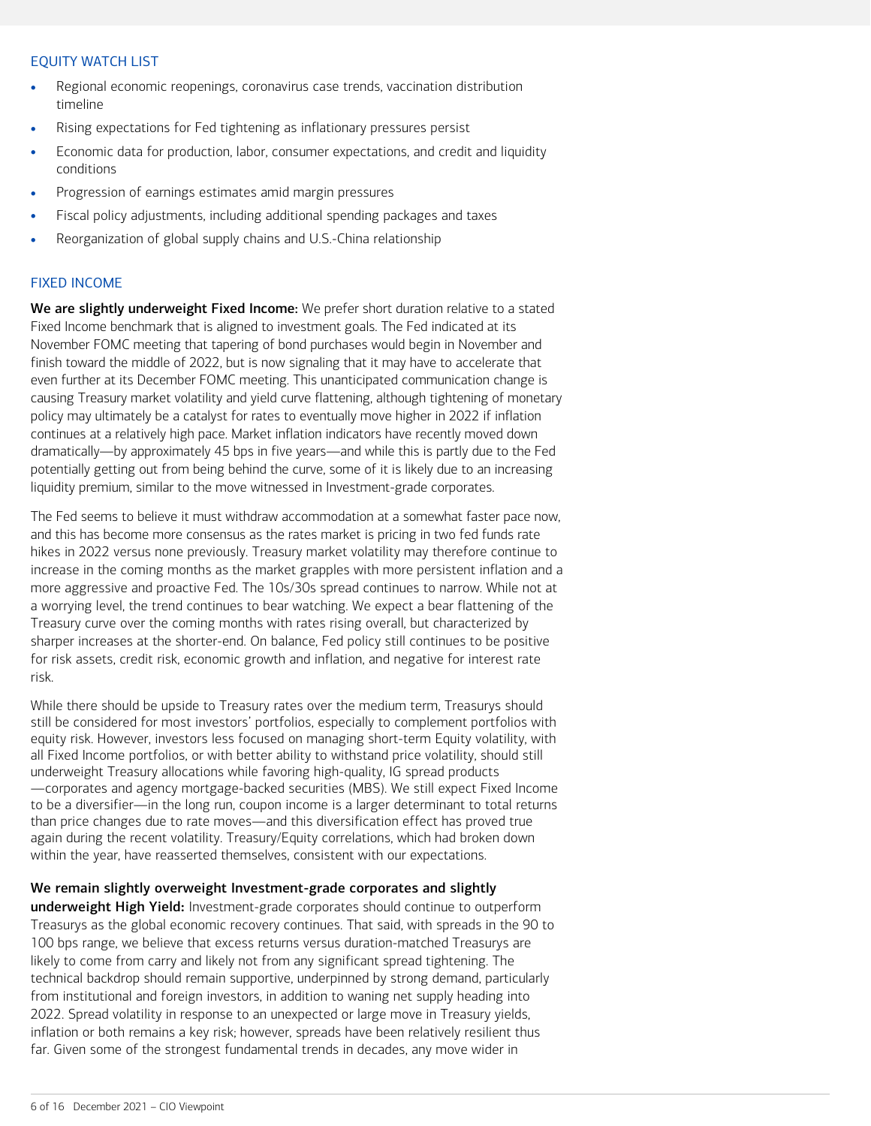### EQUITY WATCH LIST

- Regional economic reopenings, coronavirus case trends, vaccination distribution timeline
- Rising expectations for Fed tightening as inflationary pressures persist
- Economic data for production, labor, consumer expectations, and credit and liquidity conditions
- Progression of earnings estimates amid margin pressures
- Fiscal policy adjustments, including additional spending packages and taxes
- Reorganization of global supply chains and U.S.-China relationship

## FIXED INCOME

We are slightly underweight Fixed Income: We prefer short duration relative to a stated Fixed Income benchmark that is aligned to investment goals. The Fed indicated at its November FOMC meeting that tapering of bond purchases would begin in November and finish toward the middle of 2022, but is now signaling that it may have to accelerate that even further at its December FOMC meeting. This unanticipated communication change is causing Treasury market volatility and yield curve flattening, although tightening of monetary policy may ultimately be a catalyst for rates to eventually move higher in 2022 if inflation continues at a relatively high pace. Market inflation indicators have recently moved down dramatically―by approximately 45 bps in five years―and while this is partly due to the Fed potentially getting out from being behind the curve, some of it is likely due to an increasing liquidity premium, similar to the move witnessed in Investment-grade corporates.

The Fed seems to believe it must withdraw accommodation at a somewhat faster pace now, and this has become more consensus as the rates market is pricing in two fed funds rate hikes in 2022 versus none previously. Treasury market volatility may therefore continue to increase in the coming months as the market grapples with more persistent inflation and a more aggressive and proactive Fed. The 10s/30s spread continues to narrow. While not at a worrying level, the trend continues to bear watching. We expect a bear flattening of the Treasury curve over the coming months with rates rising overall, but characterized by sharper increases at the shorter-end. On balance, Fed policy still continues to be positive for risk assets, credit risk, economic growth and inflation, and negative for interest rate risk.

While there should be upside to Treasury rates over the medium term, Treasurys should still be considered for most investors' portfolios, especially to complement portfolios with equity risk. However, investors less focused on managing short-term Equity volatility, with all Fixed Income portfolios, or with better ability to withstand price volatility, should still underweight Treasury allocations while favoring high-quality, IG spread products ―corporates and agency mortgage-backed securities (MBS). We still expect Fixed Income to be a diversifier―in the long run, coupon income is a larger determinant to total returns than price changes due to rate moves―and this diversification effect has proved true again during the recent volatility. Treasury/Equity correlations, which had broken down within the year, have reasserted themselves, consistent with our expectations.

## We remain slightly overweight Investment-grade corporates and slightly

underweight High Yield**:** Investment-grade corporates should continue to outperform Treasurys as the global economic recovery continues. That said, with spreads in the 90 to 100 bps range, we believe that excess returns versus duration-matched Treasurys are likely to come from carry and likely not from any significant spread tightening. The technical backdrop should remain supportive, underpinned by strong demand, particularly from institutional and foreign investors, in addition to waning net supply heading into 2022. Spread volatility in response to an unexpected or large move in Treasury yields, inflation or both remains a key risk; however, spreads have been relatively resilient thus far. Given some of the strongest fundamental trends in decades, any move wider in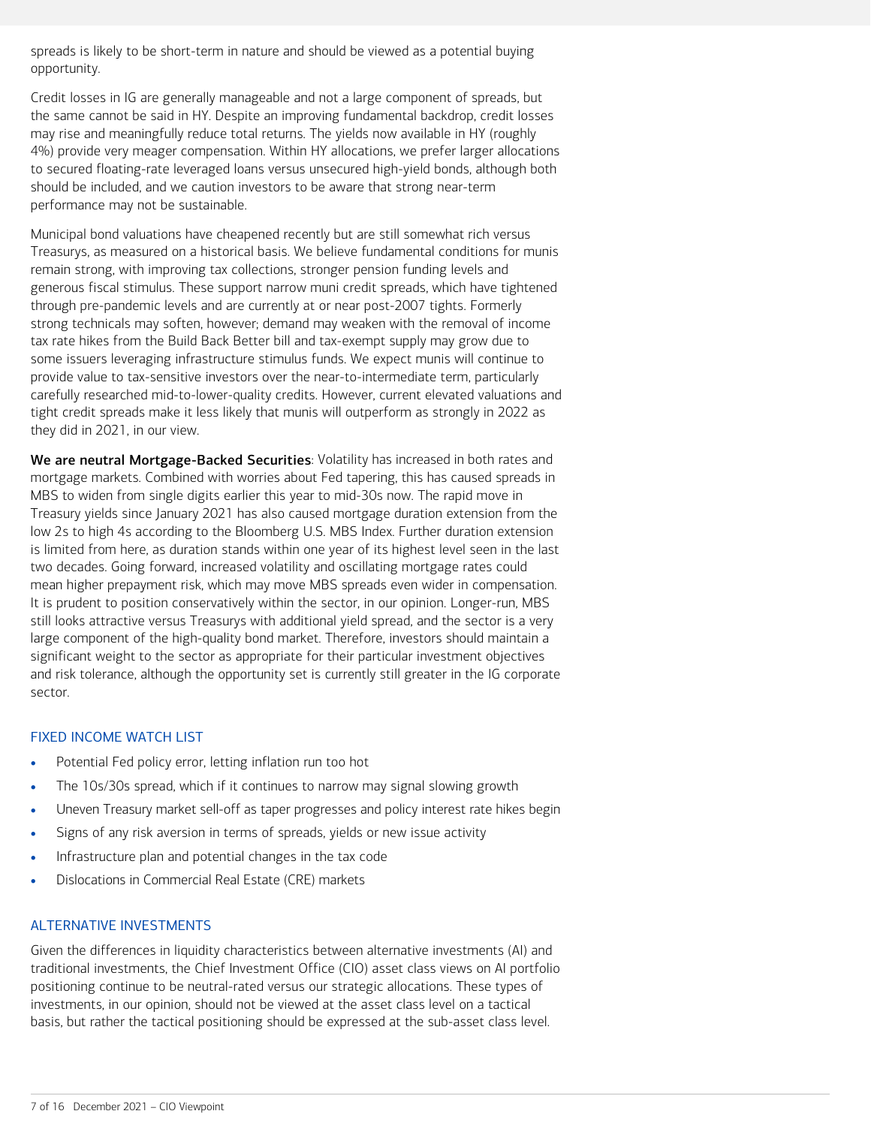spreads is likely to be short-term in nature and should be viewed as a potential buying opportunity.

Credit losses in IG are generally manageable and not a large component of spreads, but the same cannot be said in HY. Despite an improving fundamental backdrop, credit losses may rise and meaningfully reduce total returns. The yields now available in HY (roughly 4%) provide very meager compensation. Within HY allocations, we prefer larger allocations to secured floating-rate leveraged loans versus unsecured high-yield bonds, although both should be included, and we caution investors to be aware that strong near-term performance may not be sustainable.

Municipal bond valuations have cheapened recently but are still somewhat rich versus Treasurys, as measured on a historical basis. We believe fundamental conditions for munis remain strong, with improving tax collections, stronger pension funding levels and generous fiscal stimulus. These support narrow muni credit spreads, which have tightened through pre-pandemic levels and are currently at or near post-2007 tights. Formerly strong technicals may soften, however; demand may weaken with the removal of income tax rate hikes from the Build Back Better bill and tax-exempt supply may grow due to some issuers leveraging infrastructure stimulus funds. We expect munis will continue to provide value to tax-sensitive investors over the near-to-intermediate term, particularly carefully researched mid-to-lower-quality credits. However, current elevated valuations and tight credit spreads make it less likely that munis will outperform as strongly in 2022 as they did in 2021, in our view.

We are neutral Mortgage-Backed Securities: Volatility has increased in both rates and mortgage markets. Combined with worries about Fed tapering, this has caused spreads in MBS to widen from single digits earlier this year to mid-30s now. The rapid move in Treasury yields since January 2021 has also caused mortgage duration extension from the low 2s to high 4s according to the Bloomberg U.S. MBS Index. Further duration extension is limited from here, as duration stands within one year of its highest level seen in the last two decades. Going forward, increased volatility and oscillating mortgage rates could mean higher prepayment risk, which may move MBS spreads even wider in compensation. It is prudent to position conservatively within the sector, in our opinion. Longer-run, MBS still looks attractive versus Treasurys with additional yield spread, and the sector is a very large component of the high-quality bond market. Therefore, investors should maintain a significant weight to the sector as appropriate for their particular investment objectives and risk tolerance, although the opportunity set is currently still greater in the IG corporate sector.

#### FIXED INCOME WATCH LIST

- Potential Fed policy error, letting inflation run too hot
- The 10s/30s spread, which if it continues to narrow may signal slowing growth
- Uneven Treasury market sell-off as taper progresses and policy interest rate hikes begin
- Signs of any risk aversion in terms of spreads, yields or new issue activity
- Infrastructure plan and potential changes in the tax code
- Dislocations in Commercial Real Estate (CRE) markets

#### ALTERNATIVE INVESTMENTS

Given the differences in liquidity characteristics between alternative investments (AI) and traditional investments, the Chief Investment Office (CIO) asset class views on AI portfolio positioning continue to be neutral-rated versus our strategic allocations. These types of investments, in our opinion, should not be viewed at the asset class level on a tactical basis, but rather the tactical positioning should be expressed at the sub-asset class level.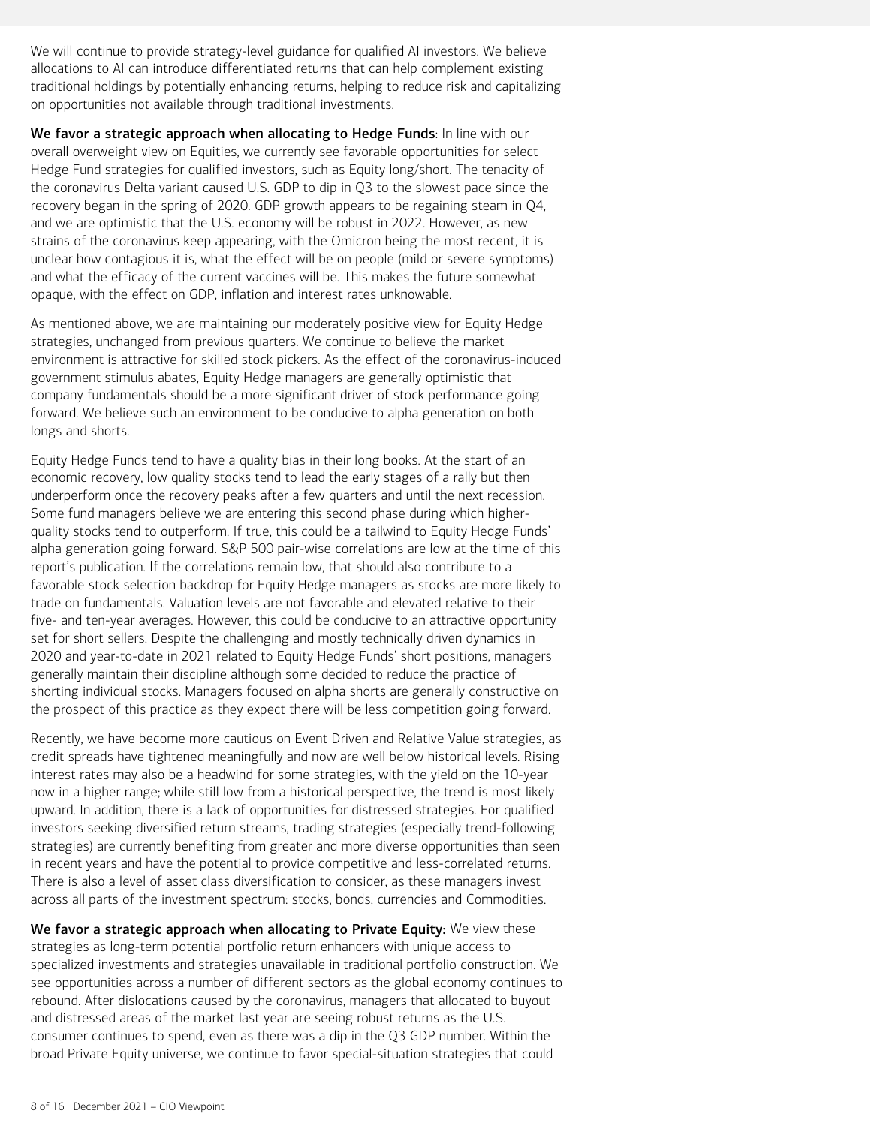We will continue to provide strategy-level guidance for qualified AI investors. We believe allocations to AI can introduce differentiated returns that can help complement existing traditional holdings by potentially enhancing returns, helping to reduce risk and capitalizing on opportunities not available through traditional investments.

We favor a strategic approach when allocating to Hedge Funds: In line with our overall overweight view on Equities, we currently see favorable opportunities for select Hedge Fund strategies for qualified investors, such as Equity long/short. The tenacity of the coronavirus Delta variant caused U.S. GDP to dip in Q3 to the slowest pace since the recovery began in the spring of 2020. GDP growth appears to be regaining steam in Q4, and we are optimistic that the U.S. economy will be robust in 2022. However, as new strains of the coronavirus keep appearing, with the Omicron being the most recent, it is unclear how contagious it is, what the effect will be on people (mild or severe symptoms) and what the efficacy of the current vaccines will be. This makes the future somewhat opaque, with the effect on GDP, inflation and interest rates unknowable.

As mentioned above, we are maintaining our moderately positive view for Equity Hedge strategies, unchanged from previous quarters. We continue to believe the market environment is attractive for skilled stock pickers. As the effect of the coronavirus-induced government stimulus abates, Equity Hedge managers are generally optimistic that company fundamentals should be a more significant driver of stock performance going forward. We believe such an environment to be conducive to alpha generation on both longs and shorts.

Equity Hedge Funds tend to have a quality bias in their long books. At the start of an economic recovery, low quality stocks tend to lead the early stages of a rally but then underperform once the recovery peaks after a few quarters and until the next recession. Some fund managers believe we are entering this second phase during which higherquality stocks tend to outperform. If true, this could be a tailwind to Equity Hedge Funds' alpha generation going forward. S&P 500 pair-wise correlations are low at the time of this report's publication. If the correlations remain low, that should also contribute to a favorable stock selection backdrop for Equity Hedge managers as stocks are more likely to trade on fundamentals. Valuation levels are not favorable and elevated relative to their five- and ten-year averages. However, this could be conducive to an attractive opportunity set for short sellers. Despite the challenging and mostly technically driven dynamics in 2020 and year-to-date in 2021 related to Equity Hedge Funds' short positions, managers generally maintain their discipline although some decided to reduce the practice of shorting individual stocks. Managers focused on alpha shorts are generally constructive on the prospect of this practice as they expect there will be less competition going forward.

Recently, we have become more cautious on Event Driven and Relative Value strategies, as credit spreads have tightened meaningfully and now are well below historical levels. Rising interest rates may also be a headwind for some strategies, with the yield on the 10-year now in a higher range; while still low from a historical perspective, the trend is most likely upward. In addition, there is a lack of opportunities for distressed strategies. For qualified investors seeking diversified return streams, trading strategies (especially trend-following strategies) are currently benefiting from greater and more diverse opportunities than seen in recent years and have the potential to provide competitive and less-correlated returns. There is also a level of asset class diversification to consider, as these managers invest across all parts of the investment spectrum: stocks, bonds, currencies and Commodities.

We favor a strategic approach when allocating to Private Equity: We view these strategies as long-term potential portfolio return enhancers with unique access to specialized investments and strategies unavailable in traditional portfolio construction. We see opportunities across a number of different sectors as the global economy continues to rebound. After dislocations caused by the coronavirus, managers that allocated to buyout and distressed areas of the market last year are seeing robust returns as the U.S. consumer continues to spend, even as there was a dip in the Q3 GDP number. Within the broad Private Equity universe, we continue to favor special-situation strategies that could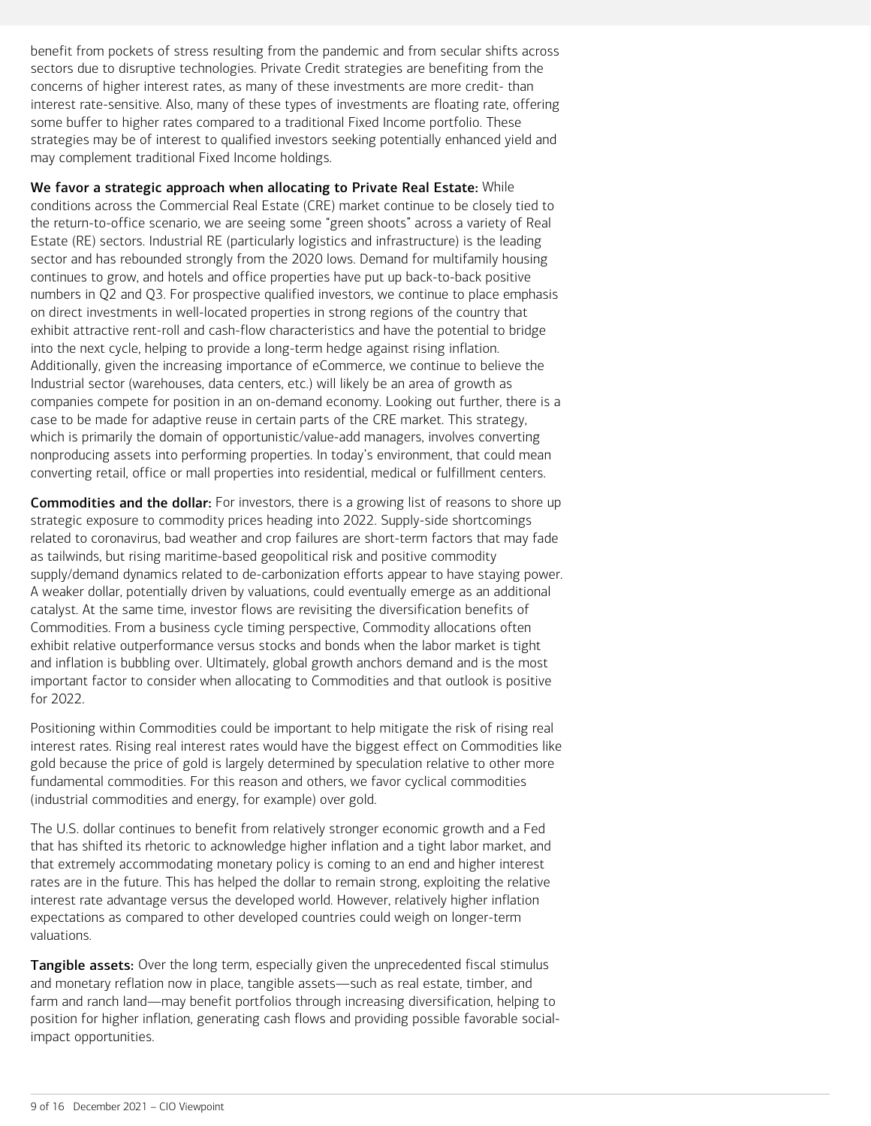benefit from pockets of stress resulting from the pandemic and from secular shifts across sectors due to disruptive technologies. Private Credit strategies are benefiting from the concerns of higher interest rates, as many of these investments are more credit- than interest rate-sensitive. Also, many of these types of investments are floating rate, offering some buffer to higher rates compared to a traditional Fixed Income portfolio. These strategies may be of interest to qualified investors seeking potentially enhanced yield and may complement traditional Fixed Income holdings.

We favor a strategic approach when allocating to Private Real Estate: While conditions across the Commercial Real Estate (CRE) market continue to be closely tied to the return-to-office scenario, we are seeing some "green shoots" across a variety of Real Estate (RE) sectors. Industrial RE (particularly logistics and infrastructure) is the leading sector and has rebounded strongly from the 2020 lows. Demand for multifamily housing continues to grow, and hotels and office properties have put up back-to-back positive numbers in Q2 and Q3. For prospective qualified investors, we continue to place emphasis on direct investments in well-located properties in strong regions of the country that exhibit attractive rent-roll and cash-flow characteristics and have the potential to bridge into the next cycle, helping to provide a long-term hedge against rising inflation. Additionally, given the increasing importance of eCommerce, we continue to believe the Industrial sector (warehouses, data centers, etc.) will likely be an area of growth as companies compete for position in an on-demand economy. Looking out further, there is a case to be made for adaptive reuse in certain parts of the CRE market. This strategy, which is primarily the domain of opportunistic/value-add managers, involves converting nonproducing assets into performing properties. In today's environment, that could mean converting retail, office or mall properties into residential, medical or fulfillment centers.

**Commodities and the dollar:** For investors, there is a growing list of reasons to shore up strategic exposure to commodity prices heading into 2022. Supply-side shortcomings related to coronavirus, bad weather and crop failures are short-term factors that may fade as tailwinds, but rising maritime-based geopolitical risk and positive commodity supply/demand dynamics related to de-carbonization efforts appear to have staying power. A weaker dollar, potentially driven by valuations, could eventually emerge as an additional catalyst. At the same time, investor flows are revisiting the diversification benefits of Commodities. From a business cycle timing perspective, Commodity allocations often exhibit relative outperformance versus stocks and bonds when the labor market is tight and inflation is bubbling over. Ultimately, global growth anchors demand and is the most important factor to consider when allocating to Commodities and that outlook is positive for 2022.

Positioning within Commodities could be important to help mitigate the risk of rising real interest rates. Rising real interest rates would have the biggest effect on Commodities like gold because the price of gold is largely determined by speculation relative to other more fundamental commodities. For this reason and others, we favor cyclical commodities (industrial commodities and energy, for example) over gold.

The U.S. dollar continues to benefit from relatively stronger economic growth and a Fed that has shifted its rhetoric to acknowledge higher inflation and a tight labor market, and that extremely accommodating monetary policy is coming to an end and higher interest rates are in the future. This has helped the dollar to remain strong, exploiting the relative interest rate advantage versus the developed world. However, relatively higher inflation expectations as compared to other developed countries could weigh on longer-term valuations.

Tangible assets: Over the long term, especially given the unprecedented fiscal stimulus and monetary reflation now in place, tangible assets—such as real estate, timber, and farm and ranch land—may benefit portfolios through increasing diversification, helping to position for higher inflation, generating cash flows and providing possible favorable socialimpact opportunities.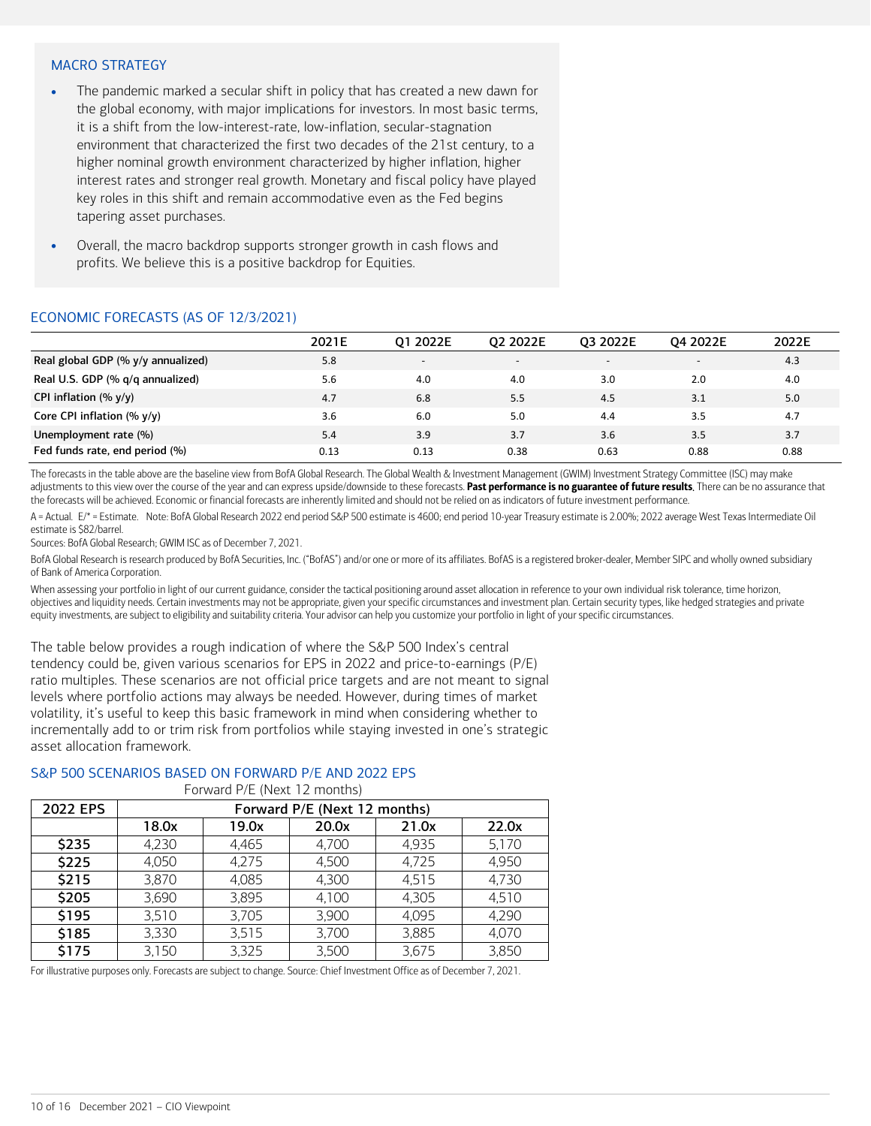#### MACRO STRATEGY

- The pandemic marked a secular shift in policy that has created a new dawn for the global economy, with major implications for investors. In most basic terms, it is a shift from the low-interest-rate, low-inflation, secular-stagnation environment that characterized the first two decades of the 21st century, to a higher nominal growth environment characterized by higher inflation, higher interest rates and stronger real growth. Monetary and fiscal policy have played key roles in this shift and remain accommodative even as the Fed begins tapering asset purchases.
- Overall, the macro backdrop supports stronger growth in cash flows and profits. We believe this is a positive backdrop for Equities.

#### ECONOMIC FORECASTS (AS OF 12/3/2021)

|                                         | 2021E | 01 2022E                 | 02 2022E                 | 03 2022E                 | 04 2022E                 | 2022E |
|-----------------------------------------|-------|--------------------------|--------------------------|--------------------------|--------------------------|-------|
| Real global GDP (% y/y annualized)      | 5.8   | $\overline{\phantom{a}}$ | $\overline{\phantom{0}}$ | $\overline{\phantom{0}}$ | $\overline{\phantom{0}}$ | 4.3   |
| Real U.S. GDP (% g/g annualized)        | 5.6   | 4.0                      | 4.0                      | 3.0                      | 2.0                      | 4.0   |
| CPI inflation $(\% \gamma/\gamma)$      | 4.7   | 6.8                      | 5.5                      | 4.5                      | 3.1                      | 5.0   |
| Core CPI inflation $(\% \gamma/\gamma)$ | 3.6   | 6.0                      | 5.0                      | 4.4                      | 3.5                      | 4.7   |
| Unemployment rate (%)                   | 5.4   | 3.9                      | 3.7                      | 3.6                      | 3.5                      | 3.7   |
| Fed funds rate, end period (%)          | 0.13  | 0.13                     | 0.38                     | 0.63                     | 0.88                     | 0.88  |

The forecasts in the table above are the baseline view from BofA Global Research. The Global Wealth & Investment Management (GWIM) Investment Strategy Committee (ISC) may make adjustments to this view over the course of the year and can express upside/downside to these forecasts. Past performance is no guarantee of future results. There can be no assurance that the forecasts will be achieved. Economic or financial forecasts are inherently limited and should not be relied on as indicators of future investment performance.

A = Actual. E/\* = Estimate. Note: BofA Global Research 2022 end period S&P 500 estimate is 4600; end period 10-year Treasury estimate is 2.00%; 2022 average West Texas Intermediate Oil estimate is \$82/barrel.

Sources: BofA Global Research; GWIM ISC as of December 7, 2021.

BofA Global Research is research produced by BofA Securities, Inc. ("BofAS") and/or one or more of its affiliates. BofAS is a registered broker-dealer, Member SIPC and wholly owned subsidiary of Bank of America Corporation.

When assessing your portfolio in light of our current guidance, consider the tactical positioning around asset allocation in reference to your own individual risk tolerance, time horizon, objectives and liquidity needs. Certain investments may not be appropriate, given your specific circumstances and investment plan. Certain security types, like hedged strategies and private equity investments, are subject to eligibility and suitability criteria. Your advisor can help you customize your portfolio in light of your specific circumstances.

The table below provides a rough indication of where the S&P 500 Index's central tendency could be, given various scenarios for EPS in 2022 and price-to-earnings (P/E) ratio multiples. These scenarios are not official price targets and are not meant to signal levels where portfolio actions may always be needed. However, during times of market volatility, it's useful to keep this basic framework in mind when considering whether to incrementally add to or trim risk from portfolios while staying invested in one's strategic asset allocation framework.

#### S&P 500 SCENARIOS BASED ON FORWARD P/E AND 2022 EPS

Forward P/E (Next 12 months)

|          |                              | $\frac{1}{2}$ . The state is the state in the state is the state in the state is the state in the state in the state in the state in the state in the state in the state in the state in the state in the state in the state in t |       |       |       |  |  |  |  |  |  |
|----------|------------------------------|-----------------------------------------------------------------------------------------------------------------------------------------------------------------------------------------------------------------------------------|-------|-------|-------|--|--|--|--|--|--|
| 2022 EPS | Forward P/E (Next 12 months) |                                                                                                                                                                                                                                   |       |       |       |  |  |  |  |  |  |
|          | 18.0x                        | 19.0x                                                                                                                                                                                                                             | 20.0x | 21.0x | 22.0x |  |  |  |  |  |  |
| \$235    | 4,230                        | 4,465                                                                                                                                                                                                                             | 4,700 | 4,935 | 5,170 |  |  |  |  |  |  |
| \$225    | 4,050                        | 4,275                                                                                                                                                                                                                             | 4,500 | 4,725 | 4,950 |  |  |  |  |  |  |
| \$215    | 3,870                        | 4,085                                                                                                                                                                                                                             | 4,300 | 4,515 | 4,730 |  |  |  |  |  |  |
| \$205    | 3,690                        | 3,895                                                                                                                                                                                                                             | 4,100 | 4,305 | 4,510 |  |  |  |  |  |  |
| \$195    | 3,510                        | 3,705                                                                                                                                                                                                                             | 3,900 | 4,095 | 4,290 |  |  |  |  |  |  |
| \$185    | 3,330                        | 3,515                                                                                                                                                                                                                             | 3,700 | 3,885 | 4,070 |  |  |  |  |  |  |
| \$175    | 3,150                        | 3,325                                                                                                                                                                                                                             | 3,500 | 3,675 | 3,850 |  |  |  |  |  |  |

For illustrative purposes only. Forecasts are subject to change. Source: Chief Investment Office as of December 7, 2021.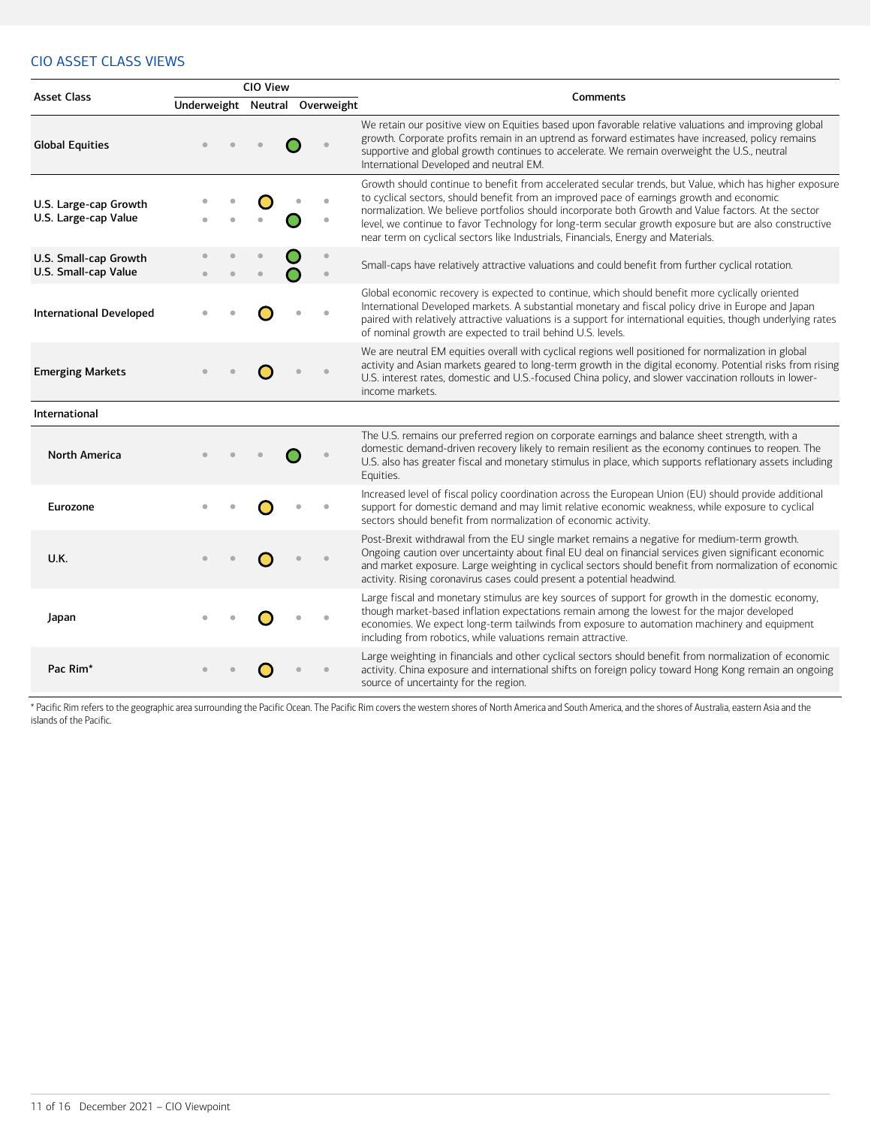## CIO ASSET CLASS VIEWS

|                                               |  | CIO View |                                |                                                                                                                                                                                                                                                                                                                                                                                                                                                                                                             |
|-----------------------------------------------|--|----------|--------------------------------|-------------------------------------------------------------------------------------------------------------------------------------------------------------------------------------------------------------------------------------------------------------------------------------------------------------------------------------------------------------------------------------------------------------------------------------------------------------------------------------------------------------|
| <b>Asset Class</b>                            |  |          | Underweight Neutral Overweight | Comments                                                                                                                                                                                                                                                                                                                                                                                                                                                                                                    |
| <b>Global Equities</b>                        |  |          |                                | We retain our positive view on Equities based upon favorable relative valuations and improving global<br>growth. Corporate profits remain in an uptrend as forward estimates have increased, policy remains<br>supportive and global growth continues to accelerate. We remain overweight the U.S., neutral<br>International Developed and neutral EM.                                                                                                                                                      |
| U.S. Large-cap Growth<br>U.S. Large-cap Value |  |          |                                | Growth should continue to benefit from accelerated secular trends, but Value, which has higher exposure<br>to cyclical sectors, should benefit from an improved pace of earnings growth and economic<br>normalization. We believe portfolios should incorporate both Growth and Value factors. At the sector<br>level, we continue to favor Technology for long-term secular growth exposure but are also constructive<br>near term on cyclical sectors like Industrials, Financials, Energy and Materials. |
| U.S. Small-cap Growth<br>U.S. Small-cap Value |  |          |                                | Small-caps have relatively attractive valuations and could benefit from further cyclical rotation.                                                                                                                                                                                                                                                                                                                                                                                                          |
| <b>International Developed</b>                |  |          |                                | Global economic recovery is expected to continue, which should benefit more cyclically oriented<br>International Developed markets. A substantial monetary and fiscal policy drive in Europe and Japan<br>paired with relatively attractive valuations is a support for international equities, though underlying rates<br>of nominal growth are expected to trail behind U.S. levels.                                                                                                                      |
| <b>Emerging Markets</b>                       |  |          |                                | We are neutral EM equities overall with cyclical regions well positioned for normalization in global<br>activity and Asian markets geared to long-term growth in the digital economy. Potential risks from rising<br>U.S. interest rates, domestic and U.S.-focused China policy, and slower vaccination rollouts in lower-<br>income markets.                                                                                                                                                              |
| International                                 |  |          |                                |                                                                                                                                                                                                                                                                                                                                                                                                                                                                                                             |
| <b>North America</b>                          |  |          |                                | The U.S. remains our preferred region on corporate earnings and balance sheet strength, with a<br>domestic demand-driven recovery likely to remain resilient as the economy continues to reopen. The<br>U.S. also has greater fiscal and monetary stimulus in place, which supports reflationary assets including<br>Equities.                                                                                                                                                                              |
| Eurozone                                      |  |          |                                | Increased level of fiscal policy coordination across the European Union (EU) should provide additional<br>support for domestic demand and may limit relative economic weakness, while exposure to cyclical<br>sectors should benefit from normalization of economic activity.                                                                                                                                                                                                                               |
| <b>U.K.</b>                                   |  |          |                                | Post-Brexit withdrawal from the EU single market remains a negative for medium-term growth.<br>Ongoing caution over uncertainty about final EU deal on financial services given significant economic<br>and market exposure. Large weighting in cyclical sectors should benefit from normalization of economic<br>activity. Rising coronavirus cases could present a potential headwind.                                                                                                                    |
| Japan                                         |  |          |                                | Large fiscal and monetary stimulus are key sources of support for growth in the domestic economy,<br>though market-based inflation expectations remain among the lowest for the major developed<br>economies. We expect long-term tailwinds from exposure to automation machinery and equipment<br>including from robotics, while valuations remain attractive.                                                                                                                                             |
| Pac Rim*                                      |  |          |                                | Large weighting in financials and other cyclical sectors should benefit from normalization of economic<br>activity. China exposure and international shifts on foreign policy toward Hong Kong remain an ongoing<br>source of uncertainty for the region.                                                                                                                                                                                                                                                   |

\* Pacific Rim refers to the geographic area surrounding the Pacific Ocean. The Pacific Rim covers the western shores of North America and South America, and the shores of Australia, eastern Asia and the islands of the Pacific.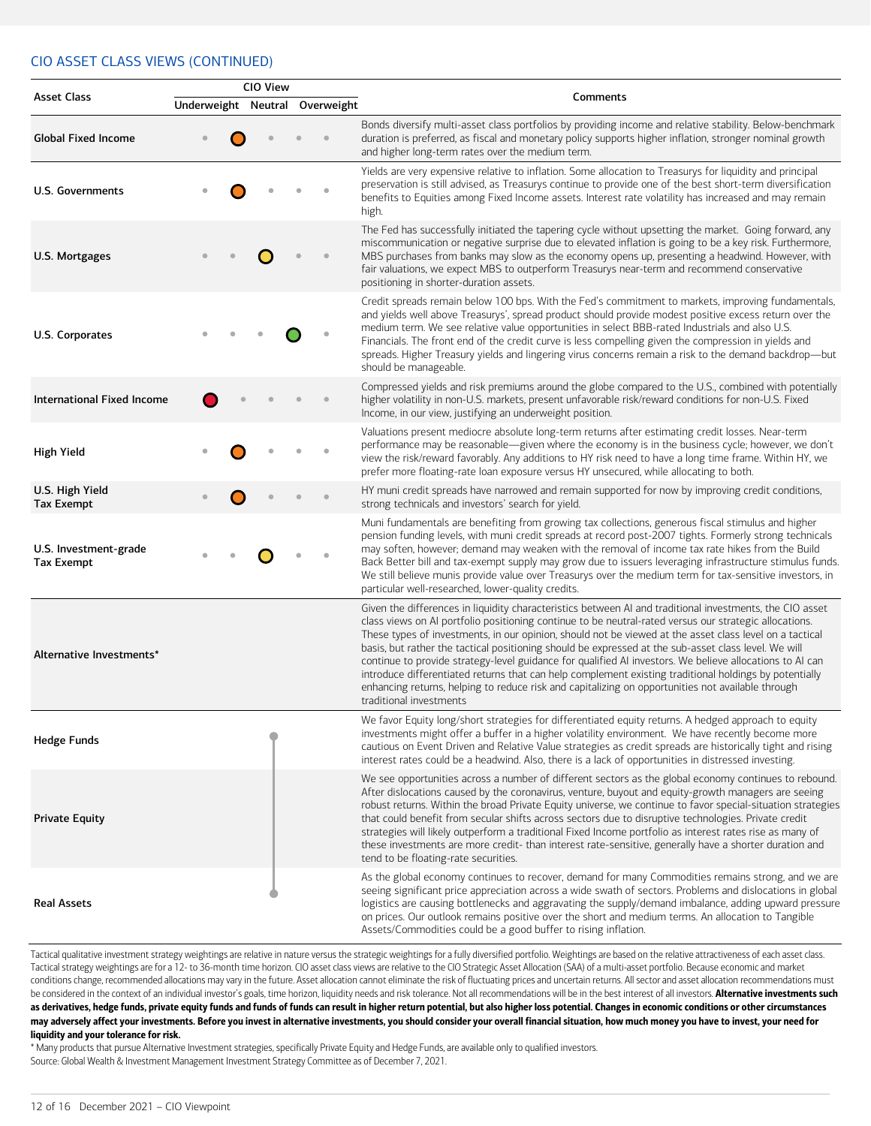#### CIO ASSET CLASS VIEWS (CONTINUED)

|                                            |                     | CIO View |            |                                                                                                                                                                                                                                                                                                                                                                                                                                                                                                                                                                                                                                                                                                                                                                                             |
|--------------------------------------------|---------------------|----------|------------|---------------------------------------------------------------------------------------------------------------------------------------------------------------------------------------------------------------------------------------------------------------------------------------------------------------------------------------------------------------------------------------------------------------------------------------------------------------------------------------------------------------------------------------------------------------------------------------------------------------------------------------------------------------------------------------------------------------------------------------------------------------------------------------------|
| <b>Asset Class</b>                         | Underweight Neutral |          | Overweight | Comments                                                                                                                                                                                                                                                                                                                                                                                                                                                                                                                                                                                                                                                                                                                                                                                    |
| <b>Global Fixed Income</b>                 |                     |          |            | Bonds diversify multi-asset class portfolios by providing income and relative stability. Below-benchmark<br>duration is preferred, as fiscal and monetary policy supports higher inflation, stronger nominal growth<br>and higher long-term rates over the medium term.                                                                                                                                                                                                                                                                                                                                                                                                                                                                                                                     |
| U.S. Governments                           |                     |          |            | Yields are very expensive relative to inflation. Some allocation to Treasurys for liquidity and principal<br>preservation is still advised, as Treasurys continue to provide one of the best short-term diversification<br>benefits to Equities among Fixed Income assets. Interest rate volatility has increased and may remain<br>high.                                                                                                                                                                                                                                                                                                                                                                                                                                                   |
| U.S. Mortgages                             |                     |          |            | The Fed has successfully initiated the tapering cycle without upsetting the market. Going forward, any<br>miscommunication or negative surprise due to elevated inflation is going to be a key risk. Furthermore,<br>MBS purchases from banks may slow as the economy opens up, presenting a headwind. However, with<br>fair valuations, we expect MBS to outperform Treasurys near-term and recommend conservative<br>positioning in shorter-duration assets.                                                                                                                                                                                                                                                                                                                              |
| U.S. Corporates                            |                     |          |            | Credit spreads remain below 100 bps. With the Fed's commitment to markets, improving fundamentals,<br>and yields well above Treasurys', spread product should provide modest positive excess return over the<br>medium term. We see relative value opportunities in select BBB-rated Industrials and also U.S.<br>Financials. The front end of the credit curve is less compelling given the compression in yields and<br>spreads. Higher Treasury yields and lingering virus concerns remain a risk to the demand backdrop-but<br>should be manageable.                                                                                                                                                                                                                                    |
| <b>International Fixed Income</b>          |                     |          |            | Compressed yields and risk premiums around the globe compared to the U.S., combined with potentially<br>higher volatility in non-U.S. markets, present unfavorable risk/reward conditions for non-U.S. Fixed<br>Income, in our view, justifying an underweight position.                                                                                                                                                                                                                                                                                                                                                                                                                                                                                                                    |
| <b>High Yield</b>                          |                     |          |            | Valuations present mediocre absolute long-term returns after estimating credit losses. Near-term<br>performance may be reasonable-given where the economy is in the business cycle; however, we don't<br>view the risk/reward favorably. Any additions to HY risk need to have a long time frame. Within HY, we<br>prefer more floating-rate loan exposure versus HY unsecured, while allocating to both.                                                                                                                                                                                                                                                                                                                                                                                   |
| U.S. High Yield<br><b>Tax Exempt</b>       |                     |          |            | HY muni credit spreads have narrowed and remain supported for now by improving credit conditions,<br>strong technicals and investors' search for yield.                                                                                                                                                                                                                                                                                                                                                                                                                                                                                                                                                                                                                                     |
| U.S. Investment-grade<br><b>Tax Exempt</b> |                     |          |            | Muni fundamentals are benefiting from growing tax collections, generous fiscal stimulus and higher<br>pension funding levels, with muni credit spreads at record post-2007 tights. Formerly strong technicals<br>may soften, however; demand may weaken with the removal of income tax rate hikes from the Build<br>Back Better bill and tax-exempt supply may grow due to issuers leveraging infrastructure stimulus funds.<br>We still believe munis provide value over Treasurys over the medium term for tax-sensitive investors, in<br>particular well-researched, lower-quality credits.                                                                                                                                                                                              |
| Alternative Investments*                   |                     |          |            | Given the differences in liquidity characteristics between AI and traditional investments, the CIO asset<br>class views on AI portfolio positioning continue to be neutral-rated versus our strategic allocations.<br>These types of investments, in our opinion, should not be viewed at the asset class level on a tactical<br>basis, but rather the tactical positioning should be expressed at the sub-asset class level. We will<br>continue to provide strategy-level guidance for qualified AI investors. We believe allocations to AI can<br>introduce differentiated returns that can help complement existing traditional holdings by potentially<br>enhancing returns, helping to reduce risk and capitalizing on opportunities not available through<br>traditional investments |
| <b>Hedge Funds</b>                         |                     |          |            | We favor Equity long/short strategies for differentiated equity returns. A hedged approach to equity<br>investments might offer a buffer in a higher volatility environment. We have recently become more<br>cautious on Event Driven and Relative Value strategies as credit spreads are historically tight and rising<br>interest rates could be a headwind. Also, there is a lack of opportunities in distressed investing.                                                                                                                                                                                                                                                                                                                                                              |
| <b>Private Equity</b>                      |                     |          |            | We see opportunities across a number of different sectors as the global economy continues to rebound.<br>After dislocations caused by the coronavirus, venture, buyout and equity-growth managers are seeing<br>robust returns. Within the broad Private Equity universe, we continue to favor special-situation strategies<br>that could benefit from secular shifts across sectors due to disruptive technologies. Private credit<br>strategies will likely outperform a traditional Fixed Income portfolio as interest rates rise as many of<br>these investments are more credit- than interest rate-sensitive, generally have a shorter duration and<br>tend to be floating-rate securities.                                                                                           |
| <b>Real Assets</b>                         |                     |          |            | As the global economy continues to recover, demand for many Commodities remains strong, and we are<br>seeing significant price appreciation across a wide swath of sectors. Problems and dislocations in global<br>logistics are causing bottlenecks and aggravating the supply/demand imbalance, adding upward pressure<br>on prices. Our outlook remains positive over the short and medium terms. An allocation to Tangible<br>Assets/Commodities could be a good buffer to rising inflation.                                                                                                                                                                                                                                                                                            |

Tactical qualitative investment strategy weightings are relative in nature versus the strategic weightings for a fully diversified portfolio. Weightings are based on the relative attractiveness of each asset class. Tactical strategy weightings are for a 12- to 36-month time horizon. CIO asset class views are relative to the CIO Strategic Asset Allocation (SAA) of a multi-asset portfolio. Because economic and market conditions change, recommended allocations may vary in the future. Asset allocation cannot eliminate the risk of fluctuating prices and uncertain returns. All sector and asset allocation recommendations must be considered in the context of an individual investor's goals, time horizon, liquidity needs and risk tolerance. Not all recommendations will be in the best interest of all investors. Alternative investments such as derivatives, hedge funds, private equity funds and funds of funds can result in higher return potential, but also higher loss potential. Changes in economic conditions or other circumstances may adversely affect your investments. Before you invest in alternative investments, you should consider your overall financial situation, how much money you have to invest, your need for liquidity and your tolerance for risk.

\* Many products that pursue Alternative Investment strategies, specifically Private Equity and Hedge Funds, are available only to qualified investors. Source: Global Wealth & Investment Management Investment Strategy Committee as of December 7, 2021.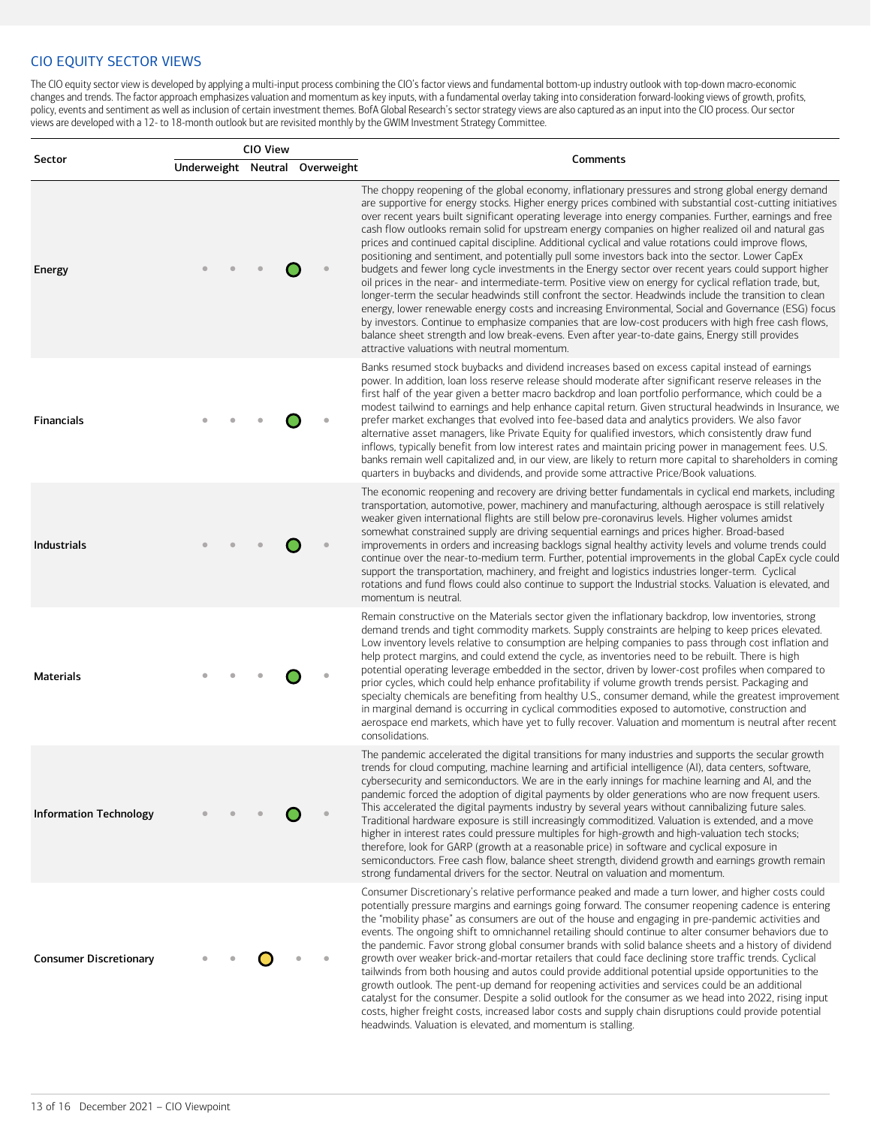### CIO EQUITY SECTOR VIEWS

The CIO equity sector view is developed by applying a multi-input process combining the CIO's factor views and fundamental bottom-up industry outlook with top-down macro-economic changes and trends. The factor approach emphasizes valuation and momentum as key inputs, with a fundamental overlay taking into consideration forward-looking views of growth, profits, policy, events and sentiment as well as inclusion of certain investment themes. BofA Global Research's sector strategy views are also captured as an input into the CIO process. Our sector views are developed with a 12- to 18-month outlook but are revisited monthly by the GWIM Investment Strategy Committee.

|                               | CIO View |                                |                                                                                                                                                                                                                                                                                                                                                                                                                                                                                                                                                                                                                                                                                                                                                                                                                                                                                                                                                                                                                                                                                                                                                                                                                                                                                                                                                     |
|-------------------------------|----------|--------------------------------|-----------------------------------------------------------------------------------------------------------------------------------------------------------------------------------------------------------------------------------------------------------------------------------------------------------------------------------------------------------------------------------------------------------------------------------------------------------------------------------------------------------------------------------------------------------------------------------------------------------------------------------------------------------------------------------------------------------------------------------------------------------------------------------------------------------------------------------------------------------------------------------------------------------------------------------------------------------------------------------------------------------------------------------------------------------------------------------------------------------------------------------------------------------------------------------------------------------------------------------------------------------------------------------------------------------------------------------------------------|
| Sector                        |          | Underweight Neutral Overweight | Comments                                                                                                                                                                                                                                                                                                                                                                                                                                                                                                                                                                                                                                                                                                                                                                                                                                                                                                                                                                                                                                                                                                                                                                                                                                                                                                                                            |
| Energy                        |          |                                | The choppy reopening of the global economy, inflationary pressures and strong global energy demand<br>are supportive for energy stocks. Higher energy prices combined with substantial cost-cutting initiatives<br>over recent years built significant operating leverage into energy companies. Further, earnings and free<br>cash flow outlooks remain solid for upstream energy companies on higher realized oil and natural gas<br>prices and continued capital discipline. Additional cyclical and value rotations could improve flows,<br>positioning and sentiment, and potentially pull some investors back into the sector. Lower CapEx<br>budgets and fewer long cycle investments in the Energy sector over recent years could support higher<br>oil prices in the near- and intermediate-term. Positive view on energy for cyclical reflation trade, but,<br>longer-term the secular headwinds still confront the sector. Headwinds include the transition to clean<br>energy, lower renewable energy costs and increasing Environmental, Social and Governance (ESG) focus<br>by investors. Continue to emphasize companies that are low-cost producers with high free cash flows,<br>balance sheet strength and low break-evens. Even after year-to-date gains, Energy still provides<br>attractive valuations with neutral momentum. |
| Financials                    |          |                                | Banks resumed stock buybacks and dividend increases based on excess capital instead of earnings<br>power. In addition, loan loss reserve release should moderate after significant reserve releases in the<br>first half of the year given a better macro backdrop and loan portfolio performance, which could be a<br>modest tailwind to earnings and help enhance capital return. Given structural headwinds in Insurance, we<br>prefer market exchanges that evolved into fee-based data and analytics providers. We also favor<br>alternative asset managers, like Private Equity for qualified investors, which consistently draw fund<br>inflows, typically benefit from low interest rates and maintain pricing power in management fees. U.S.<br>banks remain well capitalized and, in our view, are likely to return more capital to shareholders in coming<br>quarters in buybacks and dividends, and provide some attractive Price/Book valuations.                                                                                                                                                                                                                                                                                                                                                                                      |
| <b>Industrials</b>            |          |                                | The economic reopening and recovery are driving better fundamentals in cyclical end markets, including<br>transportation, automotive, power, machinery and manufacturing, although aerospace is still relatively<br>weaker given international flights are still below pre-coronavirus levels. Higher volumes amidst<br>somewhat constrained supply are driving sequential earnings and prices higher. Broad-based<br>improvements in orders and increasing backlogs signal healthy activity levels and volume trends could<br>continue over the near-to-medium term. Further, potential improvements in the global CapEx cycle could<br>support the transportation, machinery, and freight and logistics industries longer-term. Cyclical<br>rotations and fund flows could also continue to support the Industrial stocks. Valuation is elevated, and<br>momentum is neutral.                                                                                                                                                                                                                                                                                                                                                                                                                                                                     |
| Materials                     |          |                                | Remain constructive on the Materials sector given the inflationary backdrop, low inventories, strong<br>demand trends and tight commodity markets. Supply constraints are helping to keep prices elevated.<br>Low inventory levels relative to consumption are helping companies to pass through cost inflation and<br>help protect margins, and could extend the cycle, as inventories need to be rebuilt. There is high<br>potential operating leverage embedded in the sector, driven by lower-cost profiles when compared to<br>prior cycles, which could help enhance profitability if volume growth trends persist. Packaging and<br>specialty chemicals are benefiting from healthy U.S., consumer demand, while the greatest improvement<br>in marginal demand is occurring in cyclical commodities exposed to automotive, construction and<br>aerospace end markets, which have yet to fully recover. Valuation and momentum is neutral after recent<br>consolidations.                                                                                                                                                                                                                                                                                                                                                                    |
| <b>Information Technology</b> |          |                                | The pandemic accelerated the digital transitions for many industries and supports the secular growth<br>trends for cloud computing, machine learning and artificial intelligence (AI), data centers, software,<br>cybersecurity and semiconductors. We are in the early innings for machine learning and AI, and the<br>pandemic forced the adoption of digital payments by older generations who are now frequent users.<br>This accelerated the digital payments industry by several years without cannibalizing future sales.<br>Traditional hardware exposure is still increasingly commoditized. Valuation is extended, and a move<br>higher in interest rates could pressure multiples for high-growth and high-valuation tech stocks;<br>therefore, look for GARP (growth at a reasonable price) in software and cyclical exposure in<br>semiconductors. Free cash flow, balance sheet strength, dividend growth and earnings growth remain<br>strong fundamental drivers for the sector. Neutral on valuation and momentum.                                                                                                                                                                                                                                                                                                                 |
| <b>Consumer Discretionary</b> |          |                                | Consumer Discretionary's relative performance peaked and made a turn lower, and higher costs could<br>potentially pressure margins and earnings going forward. The consumer reopening cadence is entering<br>the "mobility phase" as consumers are out of the house and engaging in pre-pandemic activities and<br>events. The ongoing shift to omnichannel retailing should continue to alter consumer behaviors due to<br>the pandemic. Favor strong global consumer brands with solid balance sheets and a history of dividend<br>growth over weaker brick-and-mortar retailers that could face declining store traffic trends. Cyclical<br>tailwinds from both housing and autos could provide additional potential upside opportunities to the<br>growth outlook. The pent-up demand for reopening activities and services could be an additional<br>catalyst for the consumer. Despite a solid outlook for the consumer as we head into 2022, rising input<br>costs, higher freight costs, increased labor costs and supply chain disruptions could provide potential<br>headwinds. Valuation is elevated, and momentum is stalling.                                                                                                                                                                                                          |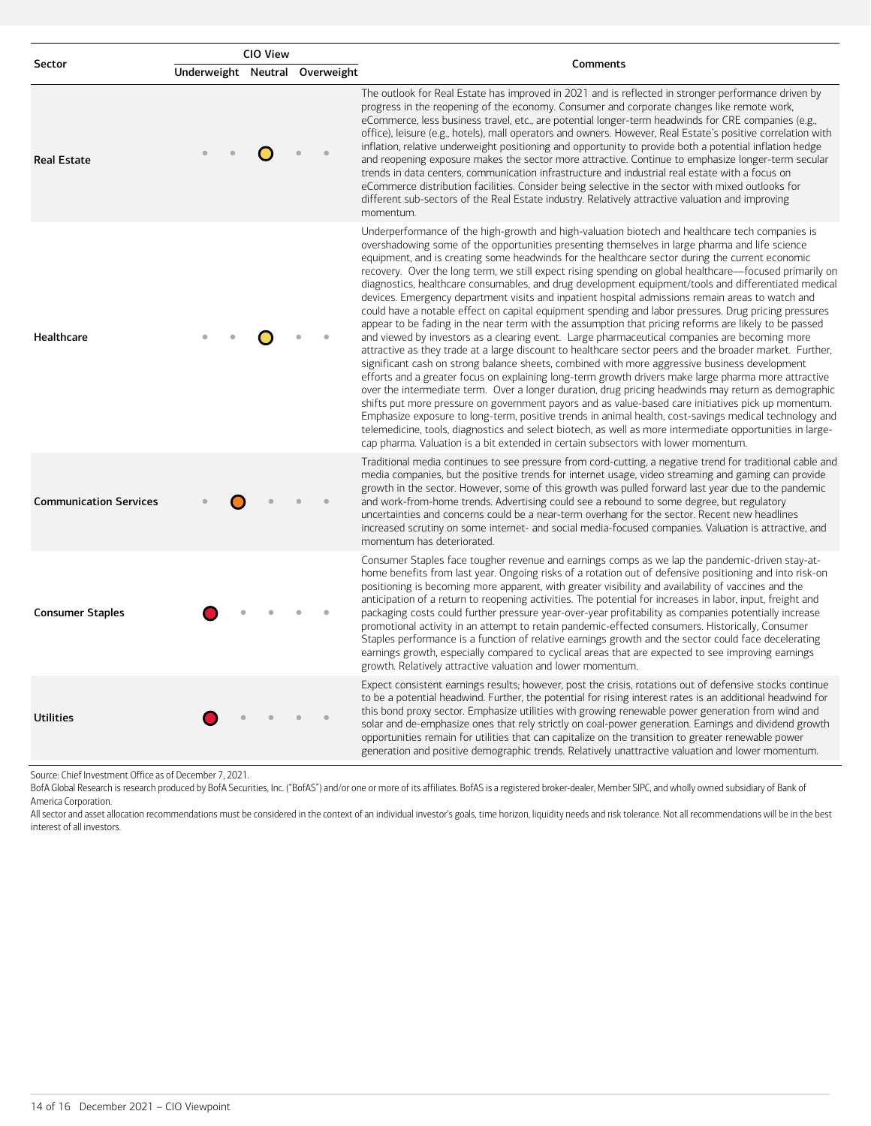|                               |                                | CIO View | Comments                                                                                                                                                                                                                                                                                                                                                                                                                                                                                                                                                                                                                                                                                                                                                                                                                                                                                                                                                                                                                                                                                                                                                                                                                                                                                                                                                                                                                                                                                                                                                                                                                                                                                                                                                                                        |
|-------------------------------|--------------------------------|----------|-------------------------------------------------------------------------------------------------------------------------------------------------------------------------------------------------------------------------------------------------------------------------------------------------------------------------------------------------------------------------------------------------------------------------------------------------------------------------------------------------------------------------------------------------------------------------------------------------------------------------------------------------------------------------------------------------------------------------------------------------------------------------------------------------------------------------------------------------------------------------------------------------------------------------------------------------------------------------------------------------------------------------------------------------------------------------------------------------------------------------------------------------------------------------------------------------------------------------------------------------------------------------------------------------------------------------------------------------------------------------------------------------------------------------------------------------------------------------------------------------------------------------------------------------------------------------------------------------------------------------------------------------------------------------------------------------------------------------------------------------------------------------------------------------|
| Sector                        | Underweight Neutral Overweight |          |                                                                                                                                                                                                                                                                                                                                                                                                                                                                                                                                                                                                                                                                                                                                                                                                                                                                                                                                                                                                                                                                                                                                                                                                                                                                                                                                                                                                                                                                                                                                                                                                                                                                                                                                                                                                 |
| <b>Real Estate</b>            |                                |          | The outlook for Real Estate has improved in 2021 and is reflected in stronger performance driven by<br>progress in the reopening of the economy. Consumer and corporate changes like remote work,<br>eCommerce, less business travel, etc., are potential longer-term headwinds for CRE companies (e.g.,<br>office), leisure (e.g., hotels), mall operators and owners. However, Real Estate's positive correlation with<br>inflation, relative underweight positioning and opportunity to provide both a potential inflation hedge<br>and reopening exposure makes the sector more attractive. Continue to emphasize longer-term secular<br>trends in data centers, communication infrastructure and industrial real estate with a focus on<br>eCommerce distribution facilities. Consider being selective in the sector with mixed outlooks for<br>different sub-sectors of the Real Estate industry. Relatively attractive valuation and improving<br>momentum.                                                                                                                                                                                                                                                                                                                                                                                                                                                                                                                                                                                                                                                                                                                                                                                                                              |
| Healthcare                    |                                |          | Underperformance of the high-growth and high-valuation biotech and healthcare tech companies is<br>overshadowing some of the opportunities presenting themselves in large pharma and life science<br>equipment, and is creating some headwinds for the healthcare sector during the current economic<br>recovery. Over the long term, we still expect rising spending on global healthcare—focused primarily on<br>diagnostics, healthcare consumables, and drug development equipment/tools and differentiated medical<br>devices. Emergency department visits and inpatient hospital admissions remain areas to watch and<br>could have a notable effect on capital equipment spending and labor pressures. Drug pricing pressures<br>appear to be fading in the near term with the assumption that pricing reforms are likely to be passed<br>and viewed by investors as a clearing event. Large pharmaceutical companies are becoming more<br>attractive as they trade at a large discount to healthcare sector peers and the broader market. Further,<br>significant cash on strong balance sheets, combined with more aggressive business development<br>efforts and a greater focus on explaining long-term growth drivers make large pharma more attractive<br>over the intermediate term. Over a longer duration, drug pricing headwinds may return as demographic<br>shifts put more pressure on government payors and as value-based care initiatives pick up momentum.<br>Emphasize exposure to long-term, positive trends in animal health, cost-savings medical technology and<br>telemedicine, tools, diagnostics and select biotech, as well as more intermediate opportunities in large-<br>cap pharma. Valuation is a bit extended in certain subsectors with lower momentum. |
| <b>Communication Services</b> |                                |          | Traditional media continues to see pressure from cord-cutting, a negative trend for traditional cable and<br>media companies, but the positive trends for internet usage, video streaming and gaming can provide<br>growth in the sector. However, some of this growth was pulled forward last year due to the pandemic<br>and work-from-home trends. Advertising could see a rebound to some degree, but regulatory<br>uncertainties and concerns could be a near-term overhang for the sector. Recent new headlines<br>increased scrutiny on some internet- and social media-focused companies. Valuation is attractive, and<br>momentum has deteriorated.                                                                                                                                                                                                                                                                                                                                                                                                                                                                                                                                                                                                                                                                                                                                                                                                                                                                                                                                                                                                                                                                                                                                    |
| <b>Consumer Staples</b>       |                                |          | Consumer Staples face tougher revenue and earnings comps as we lap the pandemic-driven stay-at-<br>home benefits from last year. Ongoing risks of a rotation out of defensive positioning and into risk-on<br>positioning is becoming more apparent, with greater visibility and availability of vaccines and the<br>anticipation of a return to reopening activities. The potential for increases in labor, input, freight and<br>packaging costs could further pressure year-over-year profitability as companies potentially increase<br>promotional activity in an attempt to retain pandemic-effected consumers. Historically, Consumer<br>Staples performance is a function of relative earnings growth and the sector could face decelerating<br>earnings growth, especially compared to cyclical areas that are expected to see improving earnings<br>growth. Relatively attractive valuation and lower momentum.                                                                                                                                                                                                                                                                                                                                                                                                                                                                                                                                                                                                                                                                                                                                                                                                                                                                       |
| <b>Utilities</b>              |                                |          | Expect consistent earnings results; however, post the crisis, rotations out of defensive stocks continue<br>to be a potential headwind. Further, the potential for rising interest rates is an additional headwind for<br>this bond proxy sector. Emphasize utilities with growing renewable power generation from wind and<br>solar and de-emphasize ones that rely strictly on coal-power generation. Earnings and dividend growth<br>opportunities remain for utilities that can capitalize on the transition to greater renewable power<br>generation and positive demographic trends. Relatively unattractive valuation and lower momentum.                                                                                                                                                                                                                                                                                                                                                                                                                                                                                                                                                                                                                                                                                                                                                                                                                                                                                                                                                                                                                                                                                                                                                |

Source: Chief Investment Office as of December 7, 2021.

BofA Global Research is research produced by BofA Securities, Inc. ("BofAS") and/or one or more of its affiliates. BofAS is a registered broker-dealer, Member SIPC, and wholly owned subsidiary of Bank of America Corporation.

All sector and asset allocation recommendations must be considered in the context of an individual investor's goals, time horizon, liquidity needs and risk tolerance. Not all recommendations will be in the best interest of all investors.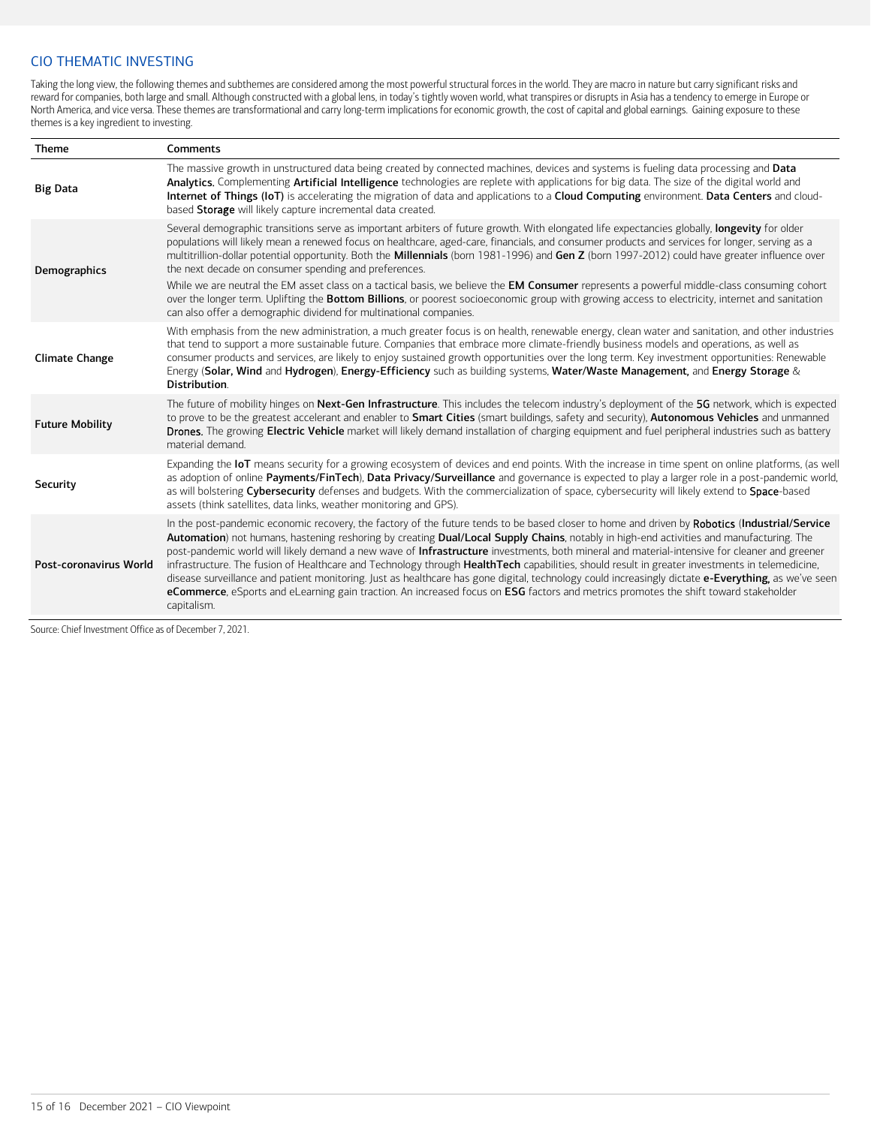### CIO THEMATIC INVESTING

Taking the long view, the following themes and subthemes are considered among the most powerful structural forces in the world. They are macro in nature but carry significant risks and reward for companies, both large and small. Although constructed with a global lens, in today's tightly woven world, what transpires or disrupts in Asia has a tendency to emerge in Europe or North America, and vice versa. These themes are transformational and carry long-term implications for economic growth, the cost of capital and global earnings. Gaining exposure to these themes is a key ingredient to investing.

| <b>Theme</b>           | Comments                                                                                                                                                                                                                                                                                                                                                                                                                                                                                                                                                                                                                                                                                                                                                                                                                                                                                                |
|------------------------|---------------------------------------------------------------------------------------------------------------------------------------------------------------------------------------------------------------------------------------------------------------------------------------------------------------------------------------------------------------------------------------------------------------------------------------------------------------------------------------------------------------------------------------------------------------------------------------------------------------------------------------------------------------------------------------------------------------------------------------------------------------------------------------------------------------------------------------------------------------------------------------------------------|
| <b>Big Data</b>        | The massive growth in unstructured data being created by connected machines, devices and systems is fueling data processing and Data<br>Analytics. Complementing Artificial Intelligence technologies are replete with applications for big data. The size of the digital world and<br>Internet of Things (IoT) is accelerating the migration of data and applications to a Cloud Computing environment. Data Centers and cloud-<br>based Storage will likely capture incremental data created.                                                                                                                                                                                                                                                                                                                                                                                                         |
| Demographics           | Several demographic transitions serve as important arbiters of future growth. With elongated life expectancies globally, longevity for older<br>populations will likely mean a renewed focus on healthcare, aged-care, financials, and consumer products and services for longer, serving as a<br>multitrillion-dollar potential opportunity. Both the Millennials (born 1981-1996) and Gen Z (born 1997-2012) could have greater influence over<br>the next decade on consumer spending and preferences.<br>While we are neutral the EM asset class on a tactical basis, we believe the EM Consumer represents a powerful middle-class consuming cohort<br>over the longer term. Uplifting the Bottom Billions, or poorest socioeconomic group with growing access to electricity, internet and sanitation<br>can also offer a demographic dividend for multinational companies.                       |
| <b>Climate Change</b>  | With emphasis from the new administration, a much greater focus is on health, renewable energy, clean water and sanitation, and other industries<br>that tend to support a more sustainable future. Companies that embrace more climate-friendly business models and operations, as well as<br>consumer products and services, are likely to enjoy sustained growth opportunities over the long term. Key investment opportunities: Renewable<br>Energy (Solar, Wind and Hydrogen), Energy-Efficiency such as building systems, Water/Waste Management, and Energy Storage &<br>Distribution.                                                                                                                                                                                                                                                                                                           |
| <b>Future Mobility</b> | The future of mobility hinges on Next-Gen Infrastructure. This includes the telecom industry's deployment of the 5G network, which is expected<br>to prove to be the greatest accelerant and enabler to Smart Cities (smart buildings, safety and security), Autonomous Vehicles and unmanned<br>Drones. The growing Electric Vehicle market will likely demand installation of charging equipment and fuel peripheral industries such as battery<br>material demand.                                                                                                                                                                                                                                                                                                                                                                                                                                   |
| Security               | Expanding the loT means security for a growing ecosystem of devices and end points. With the increase in time spent on online platforms, (as well<br>as adoption of online Payments/FinTech), Data Privacy/Surveillance and governance is expected to play a larger role in a post-pandemic world,<br>as will bolstering Cybersecurity defenses and budgets. With the commercialization of space, cybersecurity will likely extend to Space-based<br>assets (think satellites, data links, weather monitoring and GPS).                                                                                                                                                                                                                                                                                                                                                                                 |
| Post-coronavirus World | In the post-pandemic economic recovery, the factory of the future tends to be based closer to home and driven by Robotics (Industrial/Service<br>Automation) not humans, hastening reshoring by creating Dual/Local Supply Chains, notably in high-end activities and manufacturing. The<br>post-pandemic world will likely demand a new wave of Infrastructure investments, both mineral and material-intensive for cleaner and greener<br>infrastructure. The fusion of Healthcare and Technology through HealthTech capabilities, should result in greater investments in telemedicine,<br>disease surveillance and patient monitoring. Just as healthcare has gone digital, technology could increasingly dictate e-Everything, as we've seen<br>eCommerce, eSports and eLearning gain traction. An increased focus on ESG factors and metrics promotes the shift toward stakeholder<br>capitalism. |

Source: Chief Investment Office as of December 7, 2021.